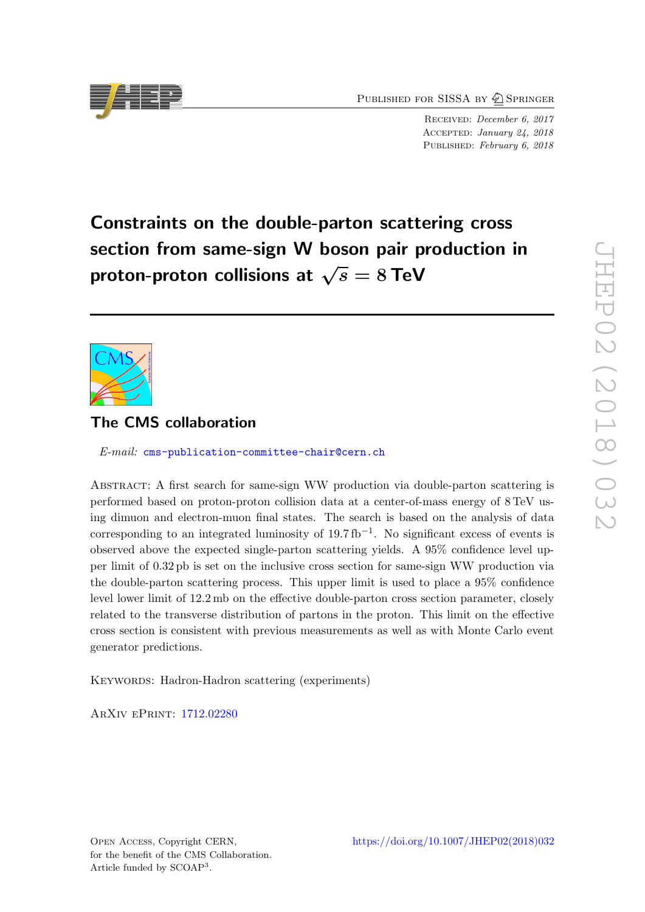PUBLISHED FOR SISSA BY 2 SPRINGER

Received: December 6, 2017 Accepted: January 24, 2018 PUBLISHED: February 6, 2018

Constraints on the double-parton scattering cross section from same-sign W boson pair production in proton-proton collisions at  $\sqrt{s} = 8$  TeV



# The CMS collaboration

E-mail: [cms-publication-committee-chair@cern.ch](mailto:cms-publication-committee-chair@cern.ch)

Abstract: A first search for same-sign WW production via double-parton scattering is performed based on proton-proton collision data at a center-of-mass energy of 8 TeV using dimuon and electron-muon final states. The search is based on the analysis of data corresponding to an integrated luminosity of  $19.7 \text{ fb}^{-1}$ . No significant excess of events is observed above the expected single-parton scattering yields. A 95% confidence level upper limit of 0.32 pb is set on the inclusive cross section for same-sign WW production via the double-parton scattering process. This upper limit is used to place a 95% confidence level lower limit of 12.2 mb on the effective double-parton cross section parameter, closely related to the transverse distribution of partons in the proton. This limit on the effective cross section is consistent with previous measurements as well as with Monte Carlo event generator predictions.

KEYWORDS: Hadron-Hadron scattering (experiments)

ArXiv ePrint: [1712.02280](https://arxiv.org/abs/1712.02280)

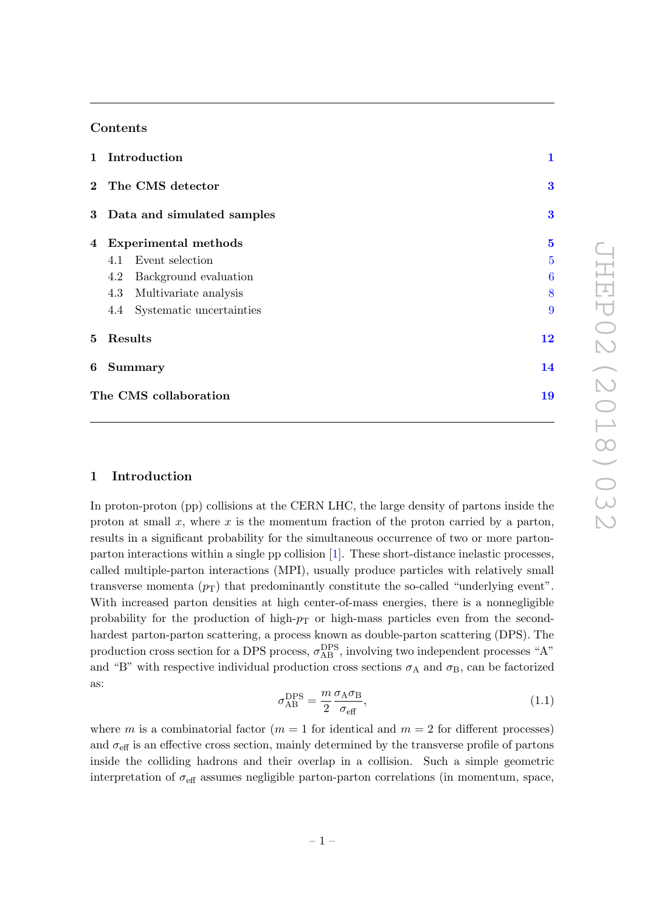# Contents

|                       | 1 Introduction               | 1                |  |
|-----------------------|------------------------------|------------------|--|
|                       | 2 The CMS detector           | 3                |  |
|                       | 3 Data and simulated samples | 3                |  |
|                       | 4 Experimental methods       | $\overline{5}$   |  |
|                       | 4.1 Event selection          | $\overline{5}$   |  |
|                       | Background evaluation<br>4.2 | $\boldsymbol{6}$ |  |
|                       | 4.3 Multivariate analysis    | 8                |  |
|                       | 4.4 Systematic uncertainties | 9                |  |
|                       | 5 Results                    | 12               |  |
| 6                     | Summary                      | 14               |  |
| The CMS collaboration |                              |                  |  |

# <span id="page-1-0"></span>1 Introduction

In proton-proton (pp) collisions at the CERN LHC, the large density of partons inside the proton at small  $x$ , where  $x$  is the momentum fraction of the proton carried by a parton, results in a significant probability for the simultaneous occurrence of two or more partonparton interactions within a single pp collision [\[1\]](#page-15-0). These short-distance inelastic processes, called multiple-parton interactions (MPI), usually produce particles with relatively small transverse momenta  $(p_T)$  that predominantly constitute the so-called "underlying event". With increased parton densities at high center-of-mass energies, there is a nonnegligible probability for the production of high- $p<sub>T</sub>$  or high-mass particles even from the secondhardest parton-parton scattering, a process known as double-parton scattering (DPS). The production cross section for a DPS process,  $\sigma_{AB}^{DPS}$ , involving two independent processes "A" and "B" with respective individual production cross sections  $\sigma_A$  and  $\sigma_B$ , can be factorized as:

<span id="page-1-1"></span>
$$
\sigma_{AB}^{DPS} = \frac{m}{2} \frac{\sigma_A \sigma_B}{\sigma_{\text{eff}}},\tag{1.1}
$$

where m is a combinatorial factor ( $m = 1$  for identical and  $m = 2$  for different processes) and  $\sigma_{\text{eff}}$  is an effective cross section, mainly determined by the transverse profile of partons inside the colliding hadrons and their overlap in a collision. Such a simple geometric interpretation of  $\sigma_{\text{eff}}$  assumes negligible parton-parton correlations (in momentum, space,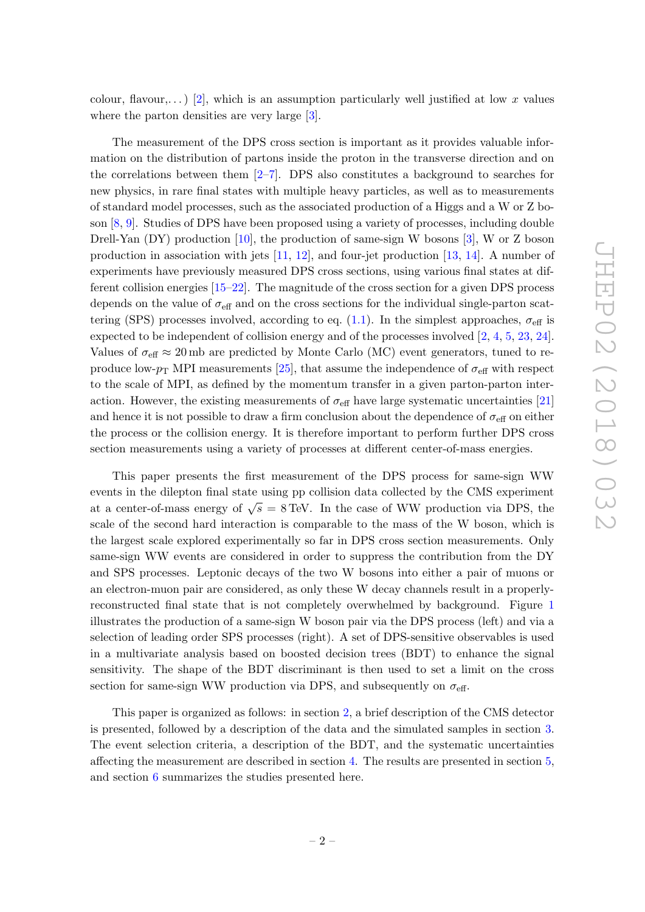colour, flavour,...) [\[2\]](#page-15-1), which is an assumption particularly well justified at low x values where the parton densities are very large [\[3\]](#page-16-0).

The measurement of the DPS cross section is important as it provides valuable information on the distribution of partons inside the proton in the transverse direction and on the correlations between them  $[2-7]$  $[2-7]$ . DPS also constitutes a background to searches for new physics, in rare final states with multiple heavy particles, as well as to measurements of standard model processes, such as the associated production of a Higgs and a W or Z boson [\[8,](#page-16-2) [9\]](#page-16-3). Studies of DPS have been proposed using a variety of processes, including double Drell-Yan  $(DY)$  production  $[10]$ , the production of same-sign W bosons  $[3]$ , W or Z boson production in association with jets [\[11,](#page-16-5) [12\]](#page-16-6), and four-jet production [\[13,](#page-16-7) [14\]](#page-16-8). A number of experiments have previously measured DPS cross sections, using various final states at different collision energies [\[15–](#page-16-9)[22\]](#page-17-0). The magnitude of the cross section for a given DPS process depends on the value of  $\sigma_{\text{eff}}$  and on the cross sections for the individual single-parton scattering (SPS) processes involved, according to eq.  $(1.1)$ . In the simplest approaches,  $\sigma_{\text{eff}}$  is expected to be independent of collision energy and of the processes involved [\[2,](#page-15-1) [4,](#page-16-10) [5,](#page-16-11) [23,](#page-17-1) [24\]](#page-17-2). Values of  $\sigma_{\text{eff}} \approx 20 \,\text{mb}$  are predicted by Monte Carlo (MC) event generators, tuned to reproduce low- $p_T$  MPI measurements [\[25\]](#page-17-3), that assume the independence of  $\sigma_{\text{eff}}$  with respect to the scale of MPI, as defined by the momentum transfer in a given parton-parton interaction. However, the existing measurements of  $\sigma_{\text{eff}}$  have large systematic uncertainties [\[21\]](#page-17-4) and hence it is not possible to draw a firm conclusion about the dependence of  $\sigma_{\text{eff}}$  on either the process or the collision energy. It is therefore important to perform further DPS cross section measurements using a variety of processes at different center-of-mass energies.

This paper presents the first measurement of the DPS process for same-sign WW events in the dilepton final state using pp collision data collected by the CMS experiment at a center-of-mass energy of  $\sqrt{s} = 8$  TeV. In the case of WW production via DPS, the scale of the second hard interaction is comparable to the mass of the W boson, which is the largest scale explored experimentally so far in DPS cross section measurements. Only same-sign WW events are considered in order to suppress the contribution from the DY and SPS processes. Leptonic decays of the two W bosons into either a pair of muons or an electron-muon pair are considered, as only these W decay channels result in a properlyreconstructed final state that is not completely overwhelmed by background. Figure [1](#page-3-2) illustrates the production of a same-sign W boson pair via the DPS process (left) and via a selection of leading order SPS processes (right). A set of DPS-sensitive observables is used in a multivariate analysis based on boosted decision trees (BDT) to enhance the signal sensitivity. The shape of the BDT discriminant is then used to set a limit on the cross section for same-sign WW production via DPS, and subsequently on  $\sigma_{\text{eff}}$ .

This paper is organized as follows: in section [2,](#page-3-0) a brief description of the CMS detector is presented, followed by a description of the data and the simulated samples in section [3.](#page-3-1) The event selection criteria, a description of the BDT, and the systematic uncertainties affecting the measurement are described in section [4.](#page-5-0) The results are presented in section [5,](#page-12-0) and section [6](#page-14-0) summarizes the studies presented here.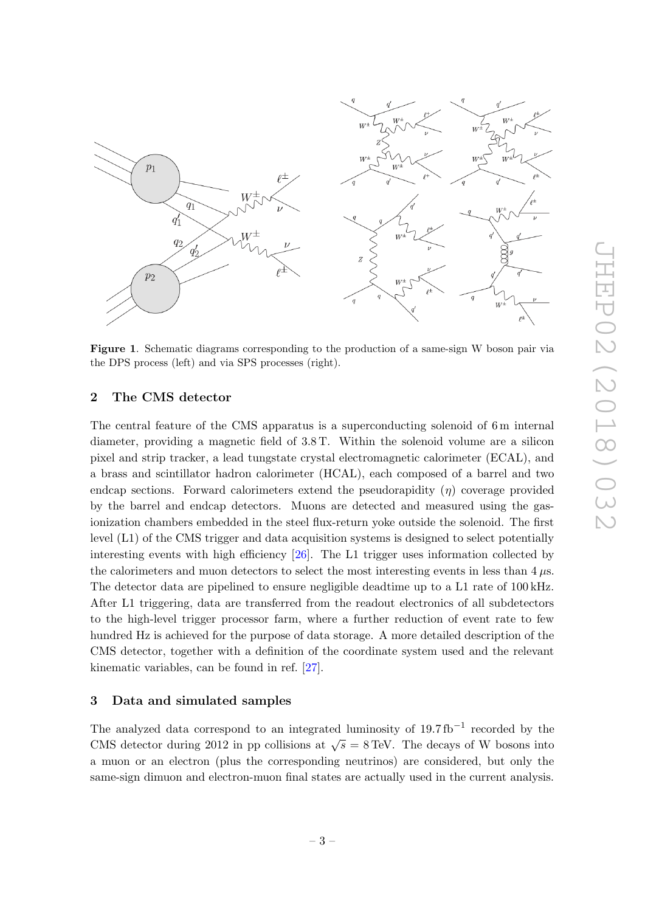

<span id="page-3-2"></span>Figure 1. Schematic diagrams corresponding to the production of a same-sign W boson pair via the DPS process (left) and via SPS processes (right).

# <span id="page-3-0"></span>2 The CMS detector

The central feature of the CMS apparatus is a superconducting solenoid of 6 m internal diameter, providing a magnetic field of 3.8 T. Within the solenoid volume are a silicon pixel and strip tracker, a lead tungstate crystal electromagnetic calorimeter (ECAL), and a brass and scintillator hadron calorimeter (HCAL), each composed of a barrel and two endcap sections. Forward calorimeters extend the pseudorapidity  $(\eta)$  coverage provided by the barrel and endcap detectors. Muons are detected and measured using the gasionization chambers embedded in the steel flux-return yoke outside the solenoid. The first level (L1) of the CMS trigger and data acquisition systems is designed to select potentially interesting events with high efficiency [\[26\]](#page-17-5). The L1 trigger uses information collected by the calorimeters and muon detectors to select the most interesting events in less than  $4 \mu s$ . The detector data are pipelined to ensure negligible deadtime up to a L1 rate of 100 kHz. After L1 triggering, data are transferred from the readout electronics of all subdetectors to the high-level trigger processor farm, where a further reduction of event rate to few hundred Hz is achieved for the purpose of data storage. A more detailed description of the CMS detector, together with a definition of the coordinate system used and the relevant kinematic variables, can be found in ref. [\[27\]](#page-17-6).

### <span id="page-3-1"></span>3 Data and simulated samples

The analyzed data correspond to an integrated luminosity of  $19.7 \text{ fb}^{-1}$  recorded by the CMS detector during 2012 in pp collisions at  $\sqrt{s} = 8$  TeV. The decays of W bosons into a muon or an electron (plus the corresponding neutrinos) are considered, but only the same-sign dimuon and electron-muon final states are actually used in the current analysis.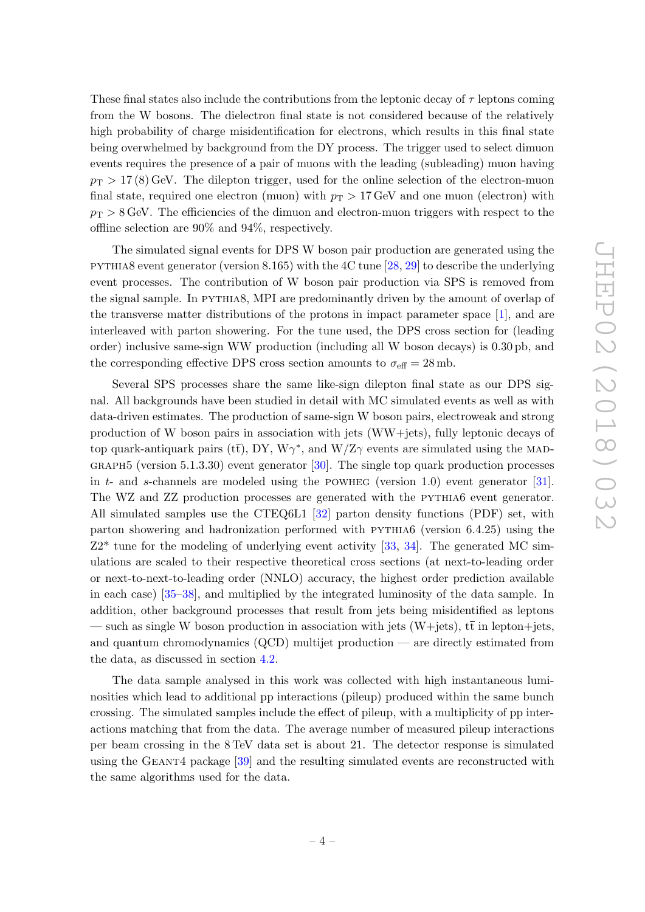These final states also include the contributions from the leptonic decay of  $\tau$  leptons coming from the W bosons. The dielectron final state is not considered because of the relatively high probability of charge misidentification for electrons, which results in this final state being overwhelmed by background from the DY process. The trigger used to select dimuon events requires the presence of a pair of muons with the leading (subleading) muon having  $p_{\rm T} > 17(8)$  GeV. The dilepton trigger, used for the online selection of the electron-muon final state, required one electron (muon) with  $p_T > 17$  GeV and one muon (electron) with  $p_{\rm T} > 8$  GeV. The efficiencies of the dimuon and electron-muon triggers with respect to the offline selection are 90% and 94%, respectively.

The simulated signal events for DPS W boson pair production are generated using the pythia8 event generator (version 8.165) with the 4C tune [\[28,](#page-17-7) [29\]](#page-17-8) to describe the underlying event processes. The contribution of W boson pair production via SPS is removed from the signal sample. In pythia8, MPI are predominantly driven by the amount of overlap of the transverse matter distributions of the protons in impact parameter space [\[1\]](#page-15-0), and are interleaved with parton showering. For the tune used, the DPS cross section for (leading order) inclusive same-sign WW production (including all W boson decays) is 0.30 pb, and the corresponding effective DPS cross section amounts to  $\sigma_{\text{eff}} = 28 \text{ mb}$ .

Several SPS processes share the same like-sign dilepton final state as our DPS signal. All backgrounds have been studied in detail with MC simulated events as well as with data-driven estimates. The production of same-sign W boson pairs, electroweak and strong production of W boson pairs in association with jets (WW+jets), fully leptonic decays of top quark-antiquark pairs (tt), DY,  $W\gamma^*$ , and  $W/Z\gamma$  events are simulated using the MAD-GRAPH5 (version 5.1.3.30) event generator  $[30]$ . The single top quark production processes in  $t$ - and s-channels are modeled using the POWHEG (version 1.0) event generator  $[31]$ . The WZ and ZZ production processes are generated with the PYTHIA6 event generator. All simulated samples use the CTEQ6L1 [\[32\]](#page-17-11) parton density functions (PDF) set, with parton showering and hadronization performed with  $PYTHIA6$  (version 6.4.25) using the  $Z2^*$  tune for the modeling of underlying event activity [\[33,](#page-17-12) [34\]](#page-17-13). The generated MC simulations are scaled to their respective theoretical cross sections (at next-to-leading order or next-to-next-to-leading order (NNLO) accuracy, the highest order prediction available in each case) [\[35](#page-17-14)[–38\]](#page-17-15), and multiplied by the integrated luminosity of the data sample. In addition, other background processes that result from jets being misidentified as leptons — such as single W boson production in association with jets (W+jets),  $t\bar{t}$  in lepton+jets, and quantum chromodynamics (QCD) multijet production — are directly estimated from the data, as discussed in section [4.2.](#page-6-0)

The data sample analysed in this work was collected with high instantaneous luminosities which lead to additional pp interactions (pileup) produced within the same bunch crossing. The simulated samples include the effect of pileup, with a multiplicity of pp interactions matching that from the data. The average number of measured pileup interactions per beam crossing in the 8 TeV data set is about 21. The detector response is simulated using the GEANT4 package [\[39\]](#page-17-16) and the resulting simulated events are reconstructed with the same algorithms used for the data.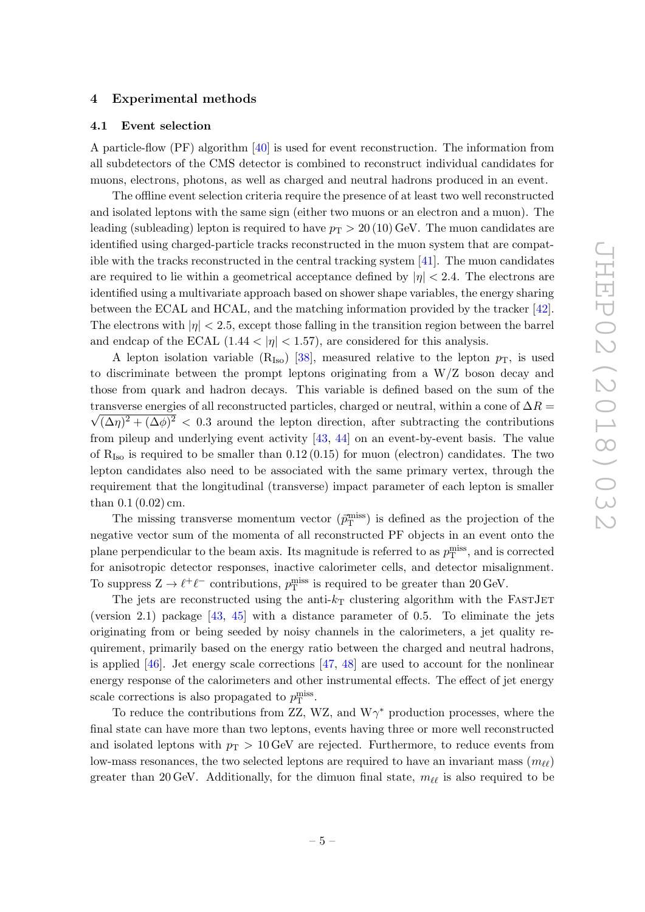### <span id="page-5-0"></span>4 Experimental methods

#### <span id="page-5-1"></span>4.1 Event selection

A particle-flow (PF) algorithm [\[40\]](#page-17-17) is used for event reconstruction. The information from all subdetectors of the CMS detector is combined to reconstruct individual candidates for muons, electrons, photons, as well as charged and neutral hadrons produced in an event.

The offline event selection criteria require the presence of at least two well reconstructed and isolated leptons with the same sign (either two muons or an electron and a muon). The leading (subleading) lepton is required to have  $p_T > 20 (10)$  GeV. The muon candidates are identified using charged-particle tracks reconstructed in the muon system that are compatible with the tracks reconstructed in the central tracking system  $[41]$ . The muon candidates are required to lie within a geometrical acceptance defined by  $|\eta| < 2.4$ . The electrons are identified using a multivariate approach based on shower shape variables, the energy sharing between the ECAL and HCAL, and the matching information provided by the tracker [\[42\]](#page-18-1). The electrons with  $|\eta| < 2.5$ , except those falling in the transition region between the barrel and endcap of the ECAL  $(1.44 < |\eta| < 1.57)$ , are considered for this analysis.

A lepton isolation variable  $(R_{Iso})$  [\[38\]](#page-17-15), measured relative to the lepton  $p_T$ , is used to discriminate between the prompt leptons originating from a W/Z boson decay and those from quark and hadron decays. This variable is defined based on the sum of the transverse energies of all reconstructed particles, charged or neutral, within a cone of  $\Delta R =$  $(\Delta \eta)^2 + (\Delta \phi)^2$  < 0.3 around the lepton direction, after subtracting the contributions from pileup and underlying event activity [\[43,](#page-18-2) [44\]](#page-18-3) on an event-by-event basis. The value of  $R_{\text{Iso}}$  is required to be smaller than 0.12 (0.15) for muon (electron) candidates. The two lepton candidates also need to be associated with the same primary vertex, through the requirement that the longitudinal (transverse) impact parameter of each lepton is smaller than 0.1 (0.02) cm.

The missing transverse momentum vector  $(\vec{p}_{\text{T}}^{\text{miss}})$  is defined as the projection of the negative vector sum of the momenta of all reconstructed PF objects in an event onto the plane perpendicular to the beam axis. Its magnitude is referred to as  $p_T^{\text{miss}}$ , and is corrected for anisotropic detector responses, inactive calorimeter cells, and detector misalignment. To suppress  $Z \to \ell^+ \ell^-$  contributions,  $p_T^{\text{miss}}$  is required to be greater than 20 GeV.

The jets are reconstructed using the anti- $k<sub>T</sub>$  clustering algorithm with the FASTJET (version 2.1) package  $[43, 45]$  $[43, 45]$  $[43, 45]$  with a distance parameter of 0.5. To eliminate the jets originating from or being seeded by noisy channels in the calorimeters, a jet quality requirement, primarily based on the energy ratio between the charged and neutral hadrons, is applied [\[46\]](#page-18-5). Jet energy scale corrections [\[47,](#page-18-6) [48\]](#page-18-7) are used to account for the nonlinear energy response of the calorimeters and other instrumental effects. The effect of jet energy scale corrections is also propagated to  $p_T^{\text{miss}}$ .

To reduce the contributions from ZZ, WZ, and  $W\gamma^*$  production processes, where the final state can have more than two leptons, events having three or more well reconstructed and isolated leptons with  $p_T > 10$  GeV are rejected. Furthermore, to reduce events from low-mass resonances, the two selected leptons are required to have an invariant mass  $(m_{\ell\ell})$ greater than 20 GeV. Additionally, for the dimuon final state,  $m_{\ell\ell}$  is also required to be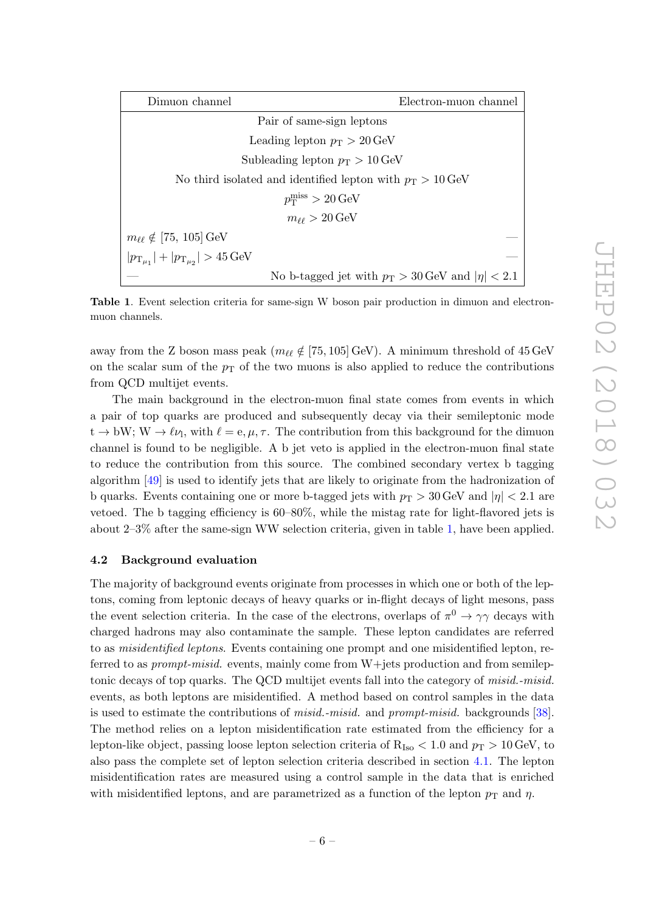| Dimuon channel                                                            | Electron-muon channel                                  |  |  |  |
|---------------------------------------------------------------------------|--------------------------------------------------------|--|--|--|
| Pair of same-sign leptons                                                 |                                                        |  |  |  |
| Leading lepton $p_T > 20 \,\text{GeV}$                                    |                                                        |  |  |  |
| Subleading lepton $p_T > 10 \,\text{GeV}$                                 |                                                        |  |  |  |
| No third isolated and identified lepton with $p_T > 10$ GeV               |                                                        |  |  |  |
|                                                                           | $p_T^{\text{miss}} > 20 \,\text{GeV}$                  |  |  |  |
|                                                                           | $m_{\ell\ell} > 20 \,\text{GeV}$                       |  |  |  |
| $m_{\ell\ell} \notin [75, 105] \,\text{GeV}$                              |                                                        |  |  |  |
| $ p_{\mathrm{T}_{\mu_1}}  +  p_{\mathrm{T}_{\mu_2}}  > 45 \,\mathrm{GeV}$ |                                                        |  |  |  |
|                                                                           | No b-tagged jet with $p_T > 30$ GeV and $ \eta  < 2.1$ |  |  |  |

<span id="page-6-1"></span>Table 1. Event selection criteria for same-sign W boson pair production in dimuon and electronmuon channels.

away from the Z boson mass peak ( $m_{\ell\ell} \notin [75, 105]$  GeV). A minimum threshold of 45 GeV on the scalar sum of the  $p<sub>T</sub>$  of the two muons is also applied to reduce the contributions from QCD multijet events.

The main background in the electron-muon final state comes from events in which a pair of top quarks are produced and subsequently decay via their semileptonic mode  $t \to bW$ ;  $W \to \ell \nu_1$ , with  $\ell = e, \mu, \tau$ . The contribution from this background for the dimuon channel is found to be negligible. A b jet veto is applied in the electron-muon final state to reduce the contribution from this source. The combined secondary vertex b tagging algorithm [\[49\]](#page-18-8) is used to identify jets that are likely to originate from the hadronization of b quarks. Events containing one or more b-tagged jets with  $p_T > 30$  GeV and  $|\eta| < 2.1$  are vetoed. The b tagging efficiency is 60–80%, while the mistag rate for light-flavored jets is about 2–3% after the same-sign WW selection criteria, given in table [1,](#page-6-1) have been applied.

#### <span id="page-6-0"></span>4.2 Background evaluation

The majority of background events originate from processes in which one or both of the leptons, coming from leptonic decays of heavy quarks or in-flight decays of light mesons, pass the event selection criteria. In the case of the electrons, overlaps of  $\pi^0 \to \gamma\gamma$  decays with charged hadrons may also contaminate the sample. These lepton candidates are referred to as *misidentified leptons*. Events containing one prompt and one misidentified lepton, referred to as *prompt-misid.* events, mainly come from W+jets production and from semileptonic decays of top quarks. The QCD multijet events fall into the category of misid.-misid. events, as both leptons are misidentified. A method based on control samples in the data is used to estimate the contributions of misid.-misid. and prompt-misid. backgrounds [\[38\]](#page-17-15). The method relies on a lepton misidentification rate estimated from the efficiency for a lepton-like object, passing loose lepton selection criteria of  $R_{\text{Iso}} < 1.0$  and  $p_T > 10$  GeV, to also pass the complete set of lepton selection criteria described in section [4.1.](#page-5-1) The lepton misidentification rates are measured using a control sample in the data that is enriched with misidentified leptons, and are parametrized as a function of the lepton  $p<sub>T</sub>$  and  $\eta$ .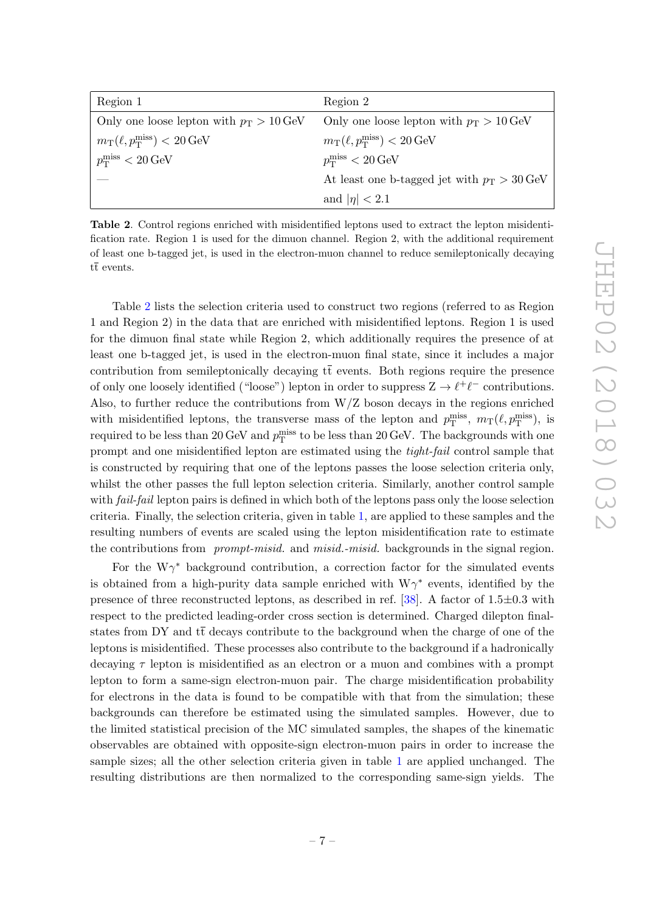| Region 1                                           | Region 2                                           |
|----------------------------------------------------|----------------------------------------------------|
| Only one loose lepton with $p_T > 10 \,\text{GeV}$ | Only one loose lepton with $p_T > 10 \,\text{GeV}$ |
| $m_T(\ell, p_T^{\text{miss}}) < 20 \,\text{GeV}$   | $m_T(\ell, p_T^{\text{miss}}) < 20 \,\text{GeV}$   |
| $p_T^{\text{miss}} < 20 \,\text{GeV}$              | $p_T^{\text{miss}} < 20 \,\text{GeV}$              |
|                                                    | At least one b-tagged jet with $p_T > 30$ GeV      |
|                                                    | and $ \eta  < 2.1$                                 |

<span id="page-7-0"></span>Table 2. Control regions enriched with misidentified leptons used to extract the lepton misidentification rate. Region 1 is used for the dimuon channel. Region 2, with the additional requirement of least one b-tagged jet, is used in the electron-muon channel to reduce semileptonically decaying  $t\overline{t}$  events.

Table [2](#page-7-0) lists the selection criteria used to construct two regions (referred to as Region 1 and Region 2) in the data that are enriched with misidentified leptons. Region 1 is used for the dimuon final state while Region 2, which additionally requires the presence of at least one b-tagged jet, is used in the electron-muon final state, since it includes a major contribution from semileptonically decaying  $t\bar{t}$  events. Both regions require the presence of only one loosely identified ("loose") lepton in order to suppress  $Z \to \ell^+ \ell^-$  contributions. Also, to further reduce the contributions from  $W/Z$  boson decays in the regions enriched with misidentified leptons, the transverse mass of the lepton and  $p_T^{\text{miss}}$ ,  $m_T(\ell, p_T^{\text{miss}})$ , is required to be less than  $20 \,\text{GeV}$  and  $p_T^{\text{miss}}$  to be less than  $20 \,\text{GeV}$ . The backgrounds with one prompt and one misidentified lepton are estimated using the tight-fail control sample that is constructed by requiring that one of the leptons passes the loose selection criteria only, whilst the other passes the full lepton selection criteria. Similarly, another control sample with *fail-fail* lepton pairs is defined in which both of the leptons pass only the loose selection criteria. Finally, the selection criteria, given in table [1,](#page-6-1) are applied to these samples and the resulting numbers of events are scaled using the lepton misidentification rate to estimate the contributions from *prompt-misid.* and *misid.-misid.* backgrounds in the signal region.

For the  $W\gamma^*$  background contribution, a correction factor for the simulated events is obtained from a high-purity data sample enriched with  $W\gamma^*$  events, identified by the presence of three reconstructed leptons, as described in ref. [\[38\]](#page-17-15). A factor of  $1.5\pm0.3$  with respect to the predicted leading-order cross section is determined. Charged dilepton finalstates from DY and  $t\bar{t}$  decays contribute to the background when the charge of one of the leptons is misidentified. These processes also contribute to the background if a hadronically decaying  $\tau$  lepton is misidentified as an electron or a muon and combines with a prompt lepton to form a same-sign electron-muon pair. The charge misidentification probability for electrons in the data is found to be compatible with that from the simulation; these backgrounds can therefore be estimated using the simulated samples. However, due to the limited statistical precision of the MC simulated samples, the shapes of the kinematic observables are obtained with opposite-sign electron-muon pairs in order to increase the sample sizes; all the other selection criteria given in table [1](#page-6-1) are applied unchanged. The resulting distributions are then normalized to the corresponding same-sign yields. The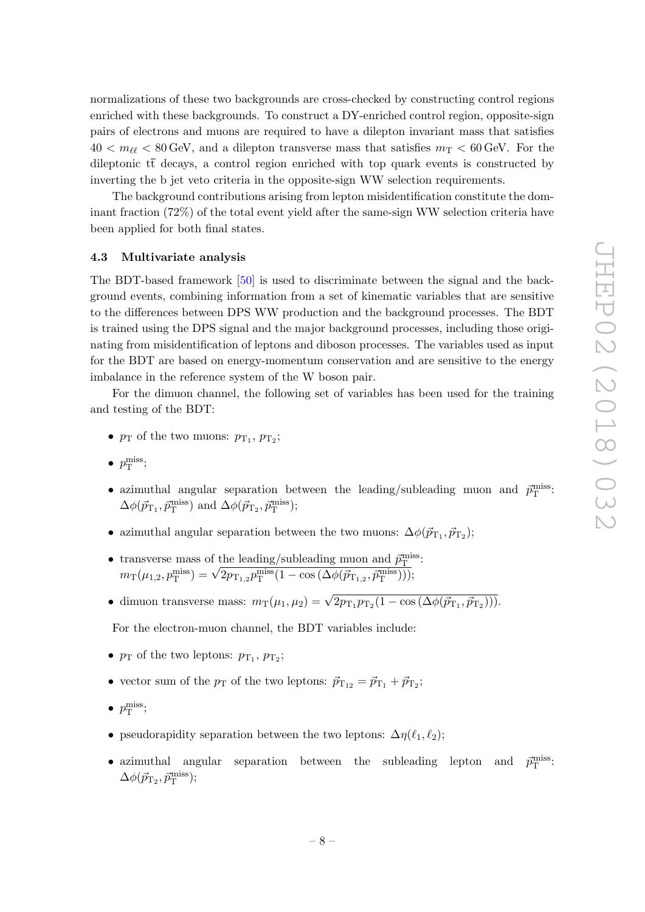normalizations of these two backgrounds are cross-checked by constructing control regions enriched with these backgrounds. To construct a DY-enriched control region, opposite-sign pairs of electrons and muons are required to have a dilepton invariant mass that satisfies  $40 < m_{\ell\ell} < 80$  GeV, and a dilepton transverse mass that satisfies  $m_T < 60$  GeV. For the dileptonic  $t\bar{t}$  decays, a control region enriched with top quark events is constructed by inverting the b jet veto criteria in the opposite-sign WW selection requirements.

The background contributions arising from lepton misidentification constitute the dominant fraction (72%) of the total event yield after the same-sign WW selection criteria have been applied for both final states.

#### <span id="page-8-0"></span>4.3 Multivariate analysis

The BDT-based framework [\[50\]](#page-18-9) is used to discriminate between the signal and the background events, combining information from a set of kinematic variables that are sensitive to the differences between DPS WW production and the background processes. The BDT is trained using the DPS signal and the major background processes, including those originating from misidentification of leptons and diboson processes. The variables used as input for the BDT are based on energy-momentum conservation and are sensitive to the energy imbalance in the reference system of the W boson pair.

For the dimuon channel, the following set of variables has been used for the training and testing of the BDT:

- $p_T$  of the two muons:  $p_{T_1}, p_{T_2}$ ;
- $\bullet$   $p_T^{\text{miss}}$ ;
- azimuthal angular separation between the leading/subleading muon and  $\vec{p}_{\text{T}}^{\text{miss}}$ .  $\Delta\phi(\vec{p}_{\rm T_1}, \vec{p}_{\rm T}^{\rm miss})$  and  $\Delta\phi(\vec{p}_{\rm T_2}, \vec{p}_{\rm T}^{\rm miss})$ ;
- azimuthal angular separation between the two muons:  $\Delta\phi(\vec{p}_{T_1}, \vec{p}_{T_2})$ ;
- transverse mass of the leading/subleading muon and  $\vec{p}_{\rm T}^{\rm miss}$ : transverse mass of the leading/subleading muon and  $p_T$ <br>  $m_T(\mu_{1,2}, p_T^{\text{miss}}) = \sqrt{2p_{T_{1,2}}p_T^{\text{miss}}(1 - \cos(\Delta\phi(\vec{p}_{T_{1,2}}, \vec{p}_T^{\text{miss}})))};$
- dimuon transverse mass:  $m_T(\mu_1, \mu_2) = \sqrt{2p_{T_1}p_{T_2}(1 \cos(\Delta\phi(\vec{p}_{T_1}, \vec{p}_{T_2})))}.$

For the electron-muon channel, the BDT variables include:

- $p_{\text{T}}$  of the two leptons:  $p_{\text{T}_1}, p_{\text{T}_2}$ ;
- vector sum of the  $p_T$  of the two leptons:  $\vec{p}_{T_{12}} = \vec{p}_{T_1} + \vec{p}_{T_2}$ ;
- $\bullet$   $p_T^{\text{miss}};$
- pseudorapidity separation between the two leptons:  $\Delta \eta(\ell_1, \ell_2);$
- azimuthal angular separation between the subleading lepton and  $\vec{p}_{\rm T}^{\rm miss}$ .  $\Delta\phi(\vec{p}_{\text{T}_2}, \vec{p}_{\text{T}}^{\text{miss}});$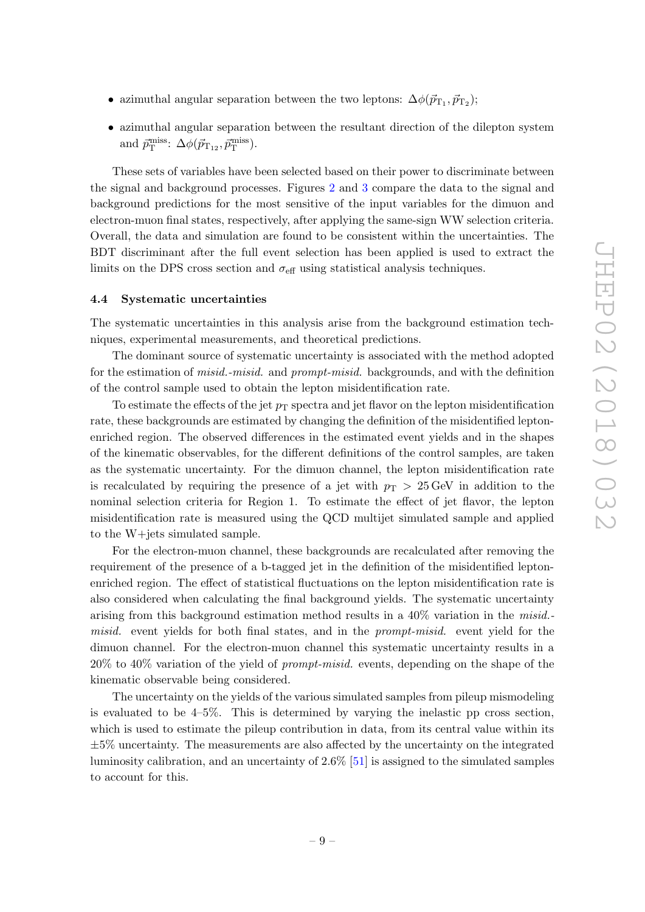- azimuthal angular separation between the two leptons:  $\Delta\phi(\vec{p}_{T_1}, \vec{p}_{T_2})$ ;
- azimuthal angular separation between the resultant direction of the dilepton system and  $\vec{p}_{\text{T}}^{\text{miss}}$ :  $\Delta\phi(\vec{p}_{\text{T}_{12}}, \vec{p}_{\text{T}}^{\text{miss}})$ .

These sets of variables have been selected based on their power to discriminate between the signal and background processes. Figures [2](#page-10-0) and [3](#page-11-0) compare the data to the signal and background predictions for the most sensitive of the input variables for the dimuon and electron-muon final states, respectively, after applying the same-sign WW selection criteria. Overall, the data and simulation are found to be consistent within the uncertainties. The BDT discriminant after the full event selection has been applied is used to extract the limits on the DPS cross section and  $\sigma_{\text{eff}}$  using statistical analysis techniques.

#### <span id="page-9-0"></span>4.4 Systematic uncertainties

The systematic uncertainties in this analysis arise from the background estimation techniques, experimental measurements, and theoretical predictions.

The dominant source of systematic uncertainty is associated with the method adopted for the estimation of *misid.-misid.* and *prompt-misid.* backgrounds, and with the definition of the control sample used to obtain the lepton misidentification rate.

To estimate the effects of the jet  $p_T$  spectra and jet flavor on the lepton misidentification rate, these backgrounds are estimated by changing the definition of the misidentified leptonenriched region. The observed differences in the estimated event yields and in the shapes of the kinematic observables, for the different definitions of the control samples, are taken as the systematic uncertainty. For the dimuon channel, the lepton misidentification rate is recalculated by requiring the presence of a jet with  $p_T > 25 \,\text{GeV}$  in addition to the nominal selection criteria for Region 1. To estimate the effect of jet flavor, the lepton misidentification rate is measured using the QCD multijet simulated sample and applied to the W+jets simulated sample.

For the electron-muon channel, these backgrounds are recalculated after removing the requirement of the presence of a b-tagged jet in the definition of the misidentified leptonenriched region. The effect of statistical fluctuations on the lepton misidentification rate is also considered when calculating the final background yields. The systematic uncertainty arising from this background estimation method results in a 40% variation in the misid. misid. event yields for both final states, and in the prompt-misid. event yield for the dimuon channel. For the electron-muon channel this systematic uncertainty results in a  $20\%$  to  $40\%$  variation of the yield of *prompt-misid.* events, depending on the shape of the kinematic observable being considered.

The uncertainty on the yields of the various simulated samples from pileup mismodeling is evaluated to be 4–5%. This is determined by varying the inelastic pp cross section, which is used to estimate the pileup contribution in data, from its central value within its  $\pm 5\%$  uncertainty. The measurements are also affected by the uncertainty on the integrated luminosity calibration, and an uncertainty of 2.6% [\[51\]](#page-18-10) is assigned to the simulated samples to account for this.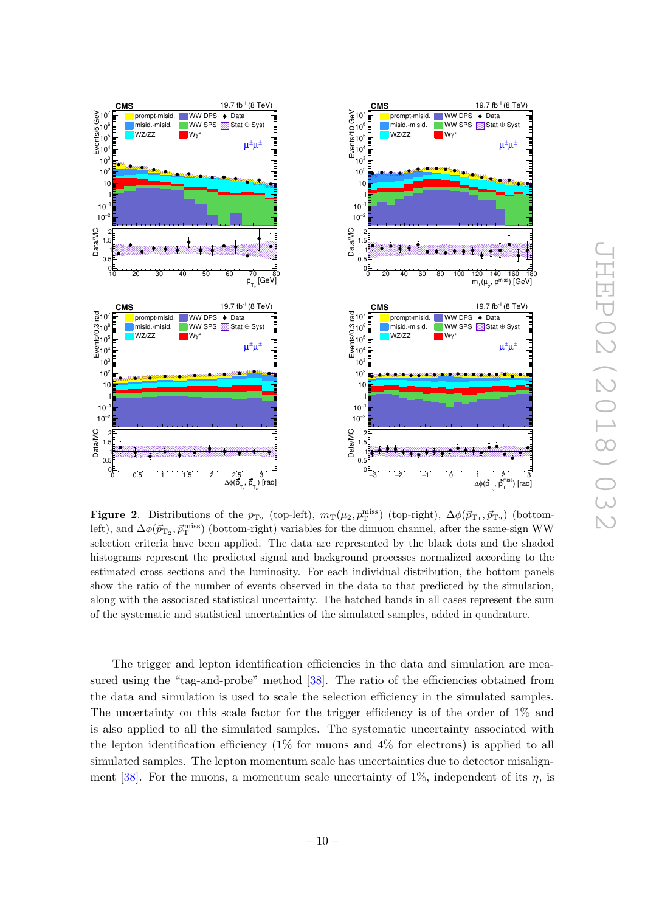

<span id="page-10-0"></span>**Figure 2.** Distributions of the  $p_{T_2}$  (top-left),  $m_T(\mu_2, p_T^{\text{miss}})$  (top-right),  $\Delta\phi(\vec{p}_{T_1}, \vec{p}_{T_2})$  (bottomleft), and  $\Delta\phi(\vec{p}_{T_2}, \vec{p}_T^{\text{miss}})$  (bottom-right) variables for the dimuon channel, after the same-sign WW selection criteria have been applied. The data are represented by the black dots and the shaded histograms represent the predicted signal and background processes normalized according to the estimated cross sections and the luminosity. For each individual distribution, the bottom panels show the ratio of the number of events observed in the data to that predicted by the simulation, along with the associated statistical uncertainty. The hatched bands in all cases represent the sum of the systematic and statistical uncertainties of the simulated samples, added in quadrature.

The trigger and lepton identification efficiencies in the data and simulation are measured using the "tag-and-probe" method [\[38\]](#page-17-15). The ratio of the efficiencies obtained from the data and simulation is used to scale the selection efficiency in the simulated samples. The uncertainty on this scale factor for the trigger efficiency is of the order of 1% and is also applied to all the simulated samples. The systematic uncertainty associated with the lepton identification efficiency  $(1\%$  for muons and  $4\%$  for electrons) is applied to all simulated samples. The lepton momentum scale has uncertainties due to detector misalign-ment [\[38\]](#page-17-15). For the muons, a momentum scale uncertainty of 1\%, independent of its  $\eta$ , is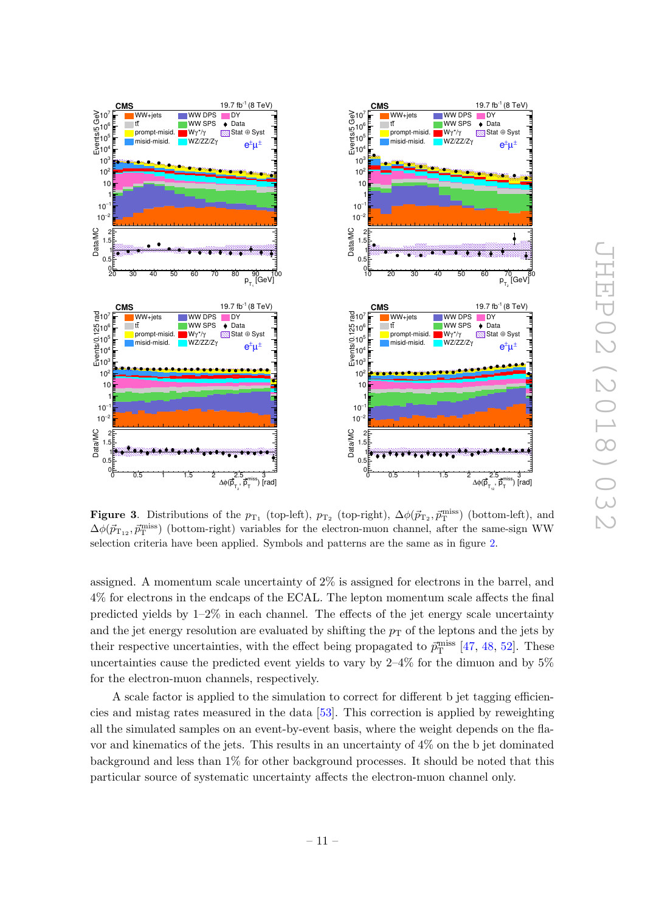

<span id="page-11-0"></span>**Figure 3.** Distributions of the  $p_{T_1}$  (top-left),  $p_{T_2}$  (top-right),  $\Delta\phi(\vec{p}_{T_2}, \vec{p}_T^{\text{miss}})$  (bottom-left), and  $\Delta\phi(\vec{p}_{T_{12}}, \vec{p}_T^{\text{miss}})$  (bottom-right) variables for the electron-muon channel, after the same-sign WW selection criteria have been applied. Symbols and patterns are the same as in figure [2.](#page-10-0)

assigned. A momentum scale uncertainty of 2% is assigned for electrons in the barrel, and 4% for electrons in the endcaps of the ECAL. The lepton momentum scale affects the final predicted yields by  $1-2\%$  in each channel. The effects of the jet energy scale uncertainty and the jet energy resolution are evaluated by shifting the  $p<sub>T</sub>$  of the leptons and the jets by their respective uncertainties, with the effect being propagated to  $\vec{p}_{\rm T}^{\rm miss}$  [\[47,](#page-18-6) [48,](#page-18-7) [52\]](#page-18-11). These uncertainties cause the predicted event yields to vary by  $2-4\%$  for the dimuon and by  $5\%$ for the electron-muon channels, respectively.

A scale factor is applied to the simulation to correct for different b jet tagging efficiencies and mistag rates measured in the data [\[53\]](#page-18-12). This correction is applied by reweighting all the simulated samples on an event-by-event basis, where the weight depends on the flavor and kinematics of the jets. This results in an uncertainty of 4% on the b jet dominated background and less than 1% for other background processes. It should be noted that this particular source of systematic uncertainty affects the electron-muon channel only.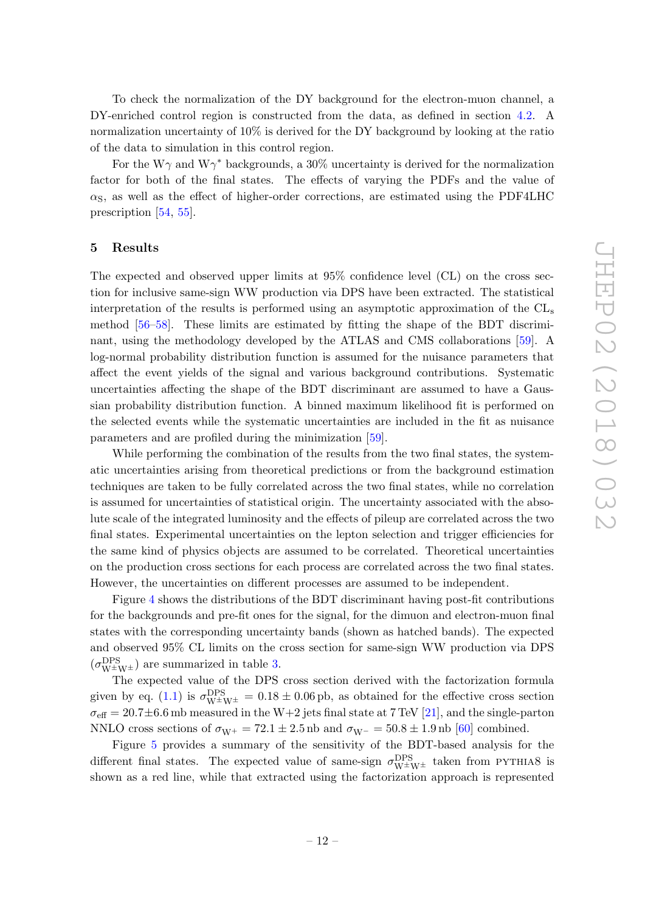To check the normalization of the DY background for the electron-muon channel, a DY-enriched control region is constructed from the data, as defined in section [4.2.](#page-6-0) A normalization uncertainty of 10% is derived for the DY background by looking at the ratio of the data to simulation in this control region.

For the W $\gamma$  and W $\gamma^*$  backgrounds, a 30% uncertainty is derived for the normalization factor for both of the final states. The effects of varying the PDFs and the value of  $\alpha$ <sub>S</sub>, as well as the effect of higher-order corrections, are estimated using the PDF4LHC prescription [\[54,](#page-18-13) [55\]](#page-18-14).

### <span id="page-12-0"></span>5 Results

The expected and observed upper limits at 95% confidence level (CL) on the cross section for inclusive same-sign WW production via DPS have been extracted. The statistical interpretation of the results is performed using an asymptotic approximation of the  $CL<sub>s</sub>$ method [\[56](#page-18-15)[–58\]](#page-18-16). These limits are estimated by fitting the shape of the BDT discriminant, using the methodology developed by the ATLAS and CMS collaborations [\[59\]](#page-18-17). A log-normal probability distribution function is assumed for the nuisance parameters that affect the event yields of the signal and various background contributions. Systematic uncertainties affecting the shape of the BDT discriminant are assumed to have a Gaussian probability distribution function. A binned maximum likelihood fit is performed on the selected events while the systematic uncertainties are included in the fit as nuisance parameters and are profiled during the minimization [\[59\]](#page-18-17).

While performing the combination of the results from the two final states, the systematic uncertainties arising from theoretical predictions or from the background estimation techniques are taken to be fully correlated across the two final states, while no correlation is assumed for uncertainties of statistical origin. The uncertainty associated with the absolute scale of the integrated luminosity and the effects of pileup are correlated across the two final states. Experimental uncertainties on the lepton selection and trigger efficiencies for the same kind of physics objects are assumed to be correlated. Theoretical uncertainties on the production cross sections for each process are correlated across the two final states. However, the uncertainties on different processes are assumed to be independent.

Figure [4](#page-13-0) shows the distributions of the BDT discriminant having post-fit contributions for the backgrounds and pre-fit ones for the signal, for the dimuon and electron-muon final states with the corresponding uncertainty bands (shown as hatched bands). The expected and observed 95% CL limits on the cross section for same-sign WW production via DPS  $(\sigma_{\text{W}^{\pm}\text{W}^{\pm}}^{\text{DPS}})$  are summarized in table [3.](#page-13-1)

The expected value of the DPS cross section derived with the factorization formula given by eq. [\(1.1\)](#page-1-1) is  $\sigma_{W^{\pm}W^{\pm}}^{\text{DPS}} = 0.18 \pm 0.06 \text{ pb}$ , as obtained for the effective cross section  $\sigma_{\text{eff}} = 20.7 \pm 6.6 \text{ mb}$  measured in the W+2 jets final state at 7 TeV [\[21\]](#page-17-4), and the single-parton NNLO cross sections of  $\sigma_{W^+} = 72.1 \pm 2.5$  nb and  $\sigma_{W^-} = 50.8 \pm 1.9$  nb [\[60\]](#page-18-18) combined.

Figure [5](#page-14-1) provides a summary of the sensitivity of the BDT-based analysis for the different final states. The expected value of same-sign  $\sigma_{W^{\pm}W^{\pm}}^{DPS}$  taken from PYTHIA8 is shown as a red line, while that extracted using the factorization approach is represented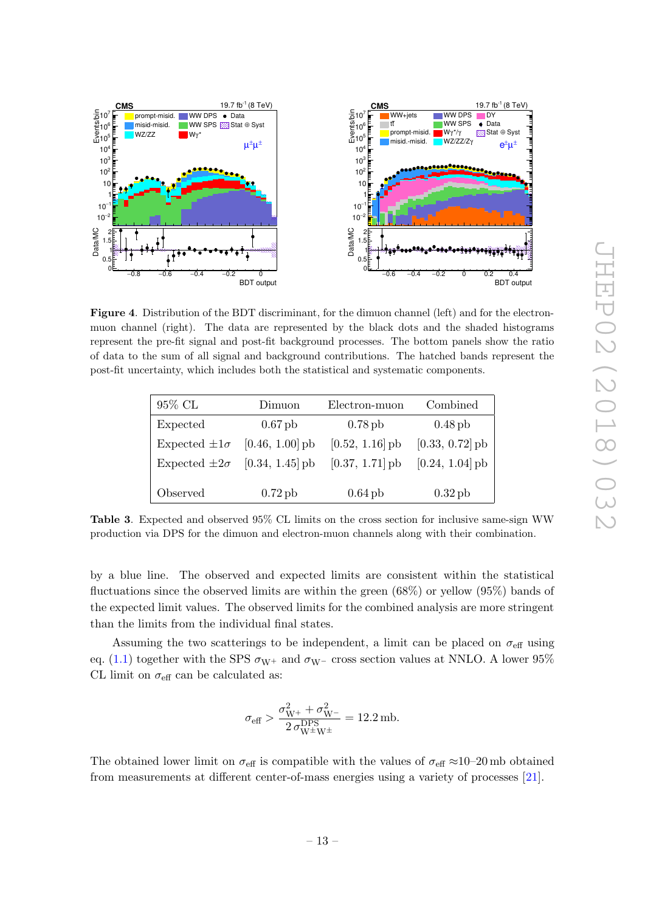

<span id="page-13-0"></span>Figure 4. Distribution of the BDT discriminant, for the dimuon channel (left) and for the electronmuon channel (right). The data are represented by the black dots and the shaded histograms represent the pre-fit signal and post-fit background processes. The bottom panels show the ratio of data to the sum of all signal and background contributions. The hatched bands represent the post-fit uncertainty, which includes both the statistical and systematic components.

| 95% CL                 | Dimuon            | Electron-muon     | Combined          |
|------------------------|-------------------|-------------------|-------------------|
| Expected               | $0.67$ pb         | $0.78$ pb         | $0.48$ pb         |
| Expected $\pm 1\sigma$ | $[0.46, 1.00]$ pb | $[0.52, 1.16]$ pb | $[0.33, 0.72]$ pb |
| Expected $\pm 2\sigma$ | $[0.34, 1.45]$ pb | $[0.37, 1.71]$ pb | $[0.24, 1.04]$ pb |
| Observed               | $0.72$ pb         | $0.64$ pb         | $0.32$ pb         |

<span id="page-13-1"></span>Table 3. Expected and observed 95% CL limits on the cross section for inclusive same-sign WW production via DPS for the dimuon and electron-muon channels along with their combination.

by a blue line. The observed and expected limits are consistent within the statistical fluctuations since the observed limits are within the green (68%) or yellow (95%) bands of the expected limit values. The observed limits for the combined analysis are more stringent than the limits from the individual final states.

Assuming the two scatterings to be independent, a limit can be placed on  $\sigma_{\text{eff}}$  using eq. [\(1.1\)](#page-1-1) together with the SPS  $\sigma_{W^+}$  and  $\sigma_{W^-}$  cross section values at NNLO. A lower 95% CL limit on  $\sigma_{\text{eff}}$  can be calculated as:

$$
\sigma_{\text{eff}} > \frac{\sigma_{\text{W}^+}^2 + \sigma_{\text{W}^-}^2}{2 \sigma_{\text{W}^{\pm} \text{W}^{\pm}}^2} = 12.2 \,\text{mb}.
$$

The obtained lower limit on  $\sigma_{\text{eff}}$  is compatible with the values of  $\sigma_{\text{eff}} \approx 10-20$  mb obtained from measurements at different center-of-mass energies using a variety of processes [\[21\]](#page-17-4).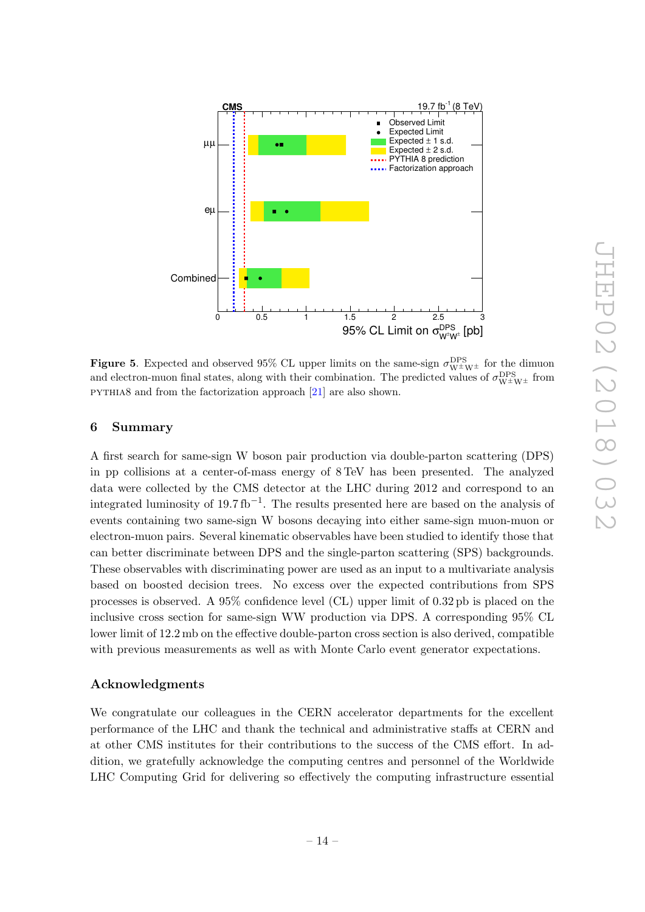

<span id="page-14-1"></span>**Figure 5**. Expected and observed 95% CL upper limits on the same-sign  $\sigma_{W^{\pm}W^{\pm}}^{DPS}$  for the dimuon and electron-muon final states, along with their combination. The predicted values of  $\sigma_{W^{\pm}W^{\pm}}^{\text{DPS}}$  from pythia8 and from the factorization approach [\[21\]](#page-17-4) are also shown.

### <span id="page-14-0"></span>6 Summary

A first search for same-sign W boson pair production via double-parton scattering (DPS) in pp collisions at a center-of-mass energy of 8 TeV has been presented. The analyzed data were collected by the CMS detector at the LHC during 2012 and correspond to an integrated luminosity of 19.7 fb−<sup>1</sup> . The results presented here are based on the analysis of events containing two same-sign W bosons decaying into either same-sign muon-muon or electron-muon pairs. Several kinematic observables have been studied to identify those that can better discriminate between DPS and the single-parton scattering (SPS) backgrounds. These observables with discriminating power are used as an input to a multivariate analysis based on boosted decision trees. No excess over the expected contributions from SPS processes is observed. A 95% confidence level (CL) upper limit of 0.32 pb is placed on the inclusive cross section for same-sign WW production via DPS. A corresponding 95% CL lower limit of 12.2 mb on the effective double-parton cross section is also derived, compatible with previous measurements as well as with Monte Carlo event generator expectations.

### Acknowledgments

We congratulate our colleagues in the CERN accelerator departments for the excellent performance of the LHC and thank the technical and administrative staffs at CERN and at other CMS institutes for their contributions to the success of the CMS effort. In addition, we gratefully acknowledge the computing centres and personnel of the Worldwide LHC Computing Grid for delivering so effectively the computing infrastructure essential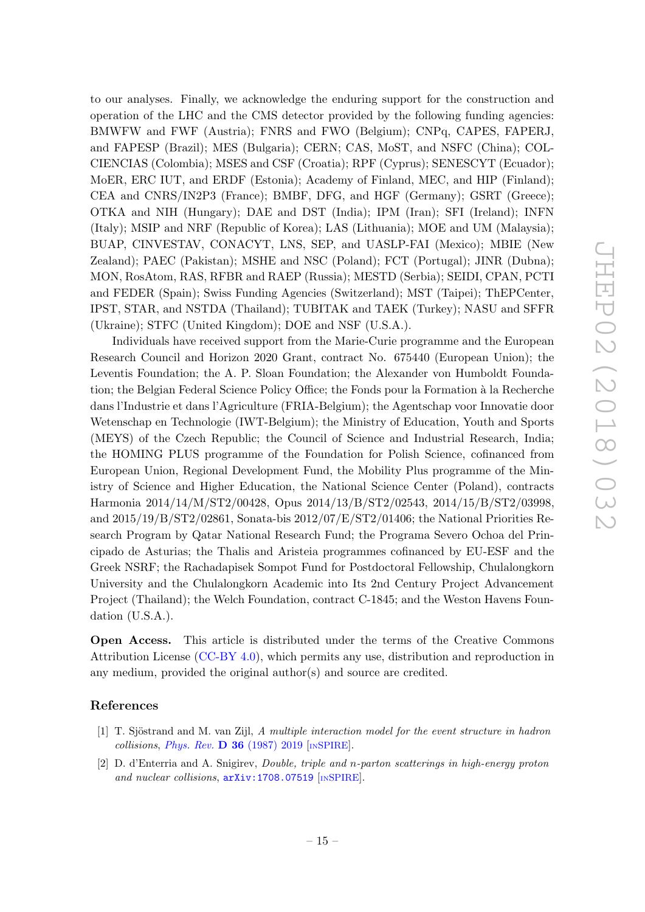to our analyses. Finally, we acknowledge the enduring support for the construction and operation of the LHC and the CMS detector provided by the following funding agencies: BMWFW and FWF (Austria); FNRS and FWO (Belgium); CNPq, CAPES, FAPERJ, and FAPESP (Brazil); MES (Bulgaria); CERN; CAS, MoST, and NSFC (China); COL-CIENCIAS (Colombia); MSES and CSF (Croatia); RPF (Cyprus); SENESCYT (Ecuador); MoER, ERC IUT, and ERDF (Estonia); Academy of Finland, MEC, and HIP (Finland); CEA and CNRS/IN2P3 (France); BMBF, DFG, and HGF (Germany); GSRT (Greece); OTKA and NIH (Hungary); DAE and DST (India); IPM (Iran); SFI (Ireland); INFN (Italy); MSIP and NRF (Republic of Korea); LAS (Lithuania); MOE and UM (Malaysia); BUAP, CINVESTAV, CONACYT, LNS, SEP, and UASLP-FAI (Mexico); MBIE (New Zealand); PAEC (Pakistan); MSHE and NSC (Poland); FCT (Portugal); JINR (Dubna); MON, RosAtom, RAS, RFBR and RAEP (Russia); MESTD (Serbia); SEIDI, CPAN, PCTI and FEDER (Spain); Swiss Funding Agencies (Switzerland); MST (Taipei); ThEPCenter, IPST, STAR, and NSTDA (Thailand); TUBITAK and TAEK (Turkey); NASU and SFFR (Ukraine); STFC (United Kingdom); DOE and NSF (U.S.A.).

Individuals have received support from the Marie-Curie programme and the European Research Council and Horizon 2020 Grant, contract No. 675440 (European Union); the Leventis Foundation; the A. P. Sloan Foundation; the Alexander von Humboldt Foundation; the Belgian Federal Science Policy Office; the Fonds pour la Formation à la Recherche dans l'Industrie et dans l'Agriculture (FRIA-Belgium); the Agentschap voor Innovatie door Wetenschap en Technologie (IWT-Belgium); the Ministry of Education, Youth and Sports (MEYS) of the Czech Republic; the Council of Science and Industrial Research, India; the HOMING PLUS programme of the Foundation for Polish Science, cofinanced from European Union, Regional Development Fund, the Mobility Plus programme of the Ministry of Science and Higher Education, the National Science Center (Poland), contracts Harmonia 2014/14/M/ST2/00428, Opus 2014/13/B/ST2/02543, 2014/15/B/ST2/03998, and 2015/19/B/ST2/02861, Sonata-bis 2012/07/E/ST2/01406; the National Priorities Research Program by Qatar National Research Fund; the Programa Severo Ochoa del Principado de Asturias; the Thalis and Aristeia programmes cofinanced by EU-ESF and the Greek NSRF; the Rachadapisek Sompot Fund for Postdoctoral Fellowship, Chulalongkorn University and the Chulalongkorn Academic into Its 2nd Century Project Advancement Project (Thailand); the Welch Foundation, contract C-1845; and the Weston Havens Foundation (U.S.A.).

Open Access. This article is distributed under the terms of the Creative Commons Attribution License [\(CC-BY 4.0\)](https://creativecommons.org/licenses/by/4.0/), which permits any use, distribution and reproduction in any medium, provided the original author(s) and source are credited.

# References

- <span id="page-15-0"></span>[1] T. Sjöstrand and M. van Zijl, A multiple interaction model for the event structure in hadron  $collisions, Phys. Rev. D 36 (1987) 2019 [NSPIRE].$  $collisions, Phys. Rev. D 36 (1987) 2019 [NSPIRE].$  $collisions, Phys. Rev. D 36 (1987) 2019 [NSPIRE].$  $collisions, Phys. Rev. D 36 (1987) 2019 [NSPIRE].$  $collisions, Phys. Rev. D 36 (1987) 2019 [NSPIRE].$
- <span id="page-15-1"></span>[2] D. d'Enterria and A. Snigirev, Double, triple and n-parton scatterings in high-energy proton and nuclear collisions,  $arXiv:1708.07519$  [IN[SPIRE](https://inspirehep.net/search?p=find+EPRINT+arXiv:1708.07519)].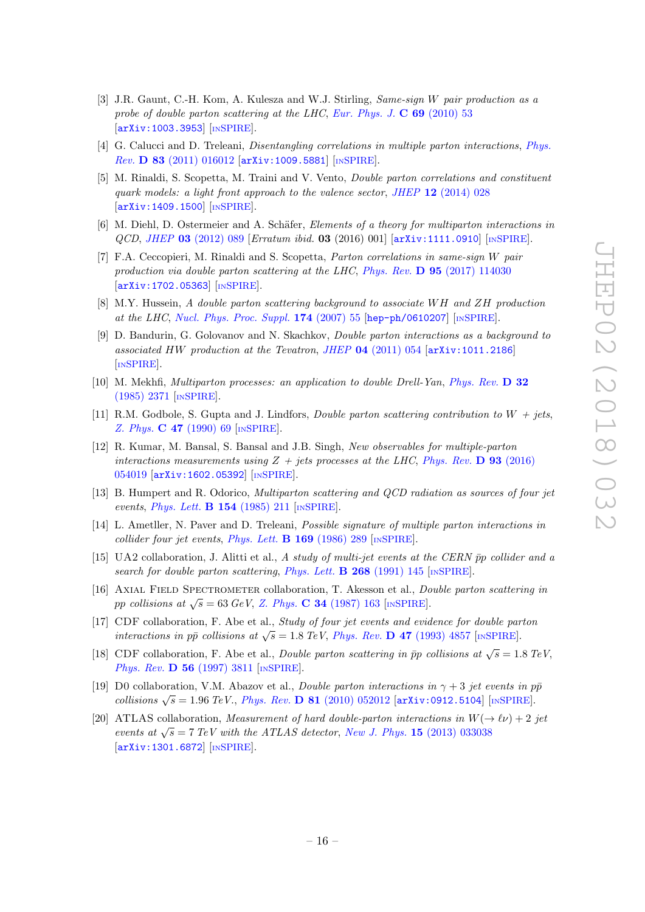- <span id="page-16-0"></span>[3] J.R. Gaunt, C.-H. Kom, A. Kulesza and W.J. Stirling, Same-sign W pair production as a probe of double parton scattering at the LHC, [Eur. Phys. J.](https://doi.org/10.1140/epjc/s10052-010-1362-y)  $\bf{C}$  69 (2010) 53 [[arXiv:1003.3953](https://arxiv.org/abs/1003.3953)] [IN[SPIRE](https://inspirehep.net/search?p=find+EPRINT+arXiv:1003.3953)].
- <span id="page-16-10"></span>[4] G. Calucci and D. Treleani, Disentangling correlations in multiple parton interactions, [Phys.](https://doi.org/10.1103/PhysRevD.83.016012) Rev. D 83 [\(2011\) 016012](https://doi.org/10.1103/PhysRevD.83.016012) [[arXiv:1009.5881](https://arxiv.org/abs/1009.5881)] [IN[SPIRE](https://inspirehep.net/search?p=find+EPRINT+arXiv:1009.5881)].
- <span id="page-16-11"></span>[5] M. Rinaldi, S. Scopetta, M. Traini and V. Vento, Double parton correlations and constituent quark models: a light front approach to the valence sector, JHEP 12 [\(2014\) 028](https://doi.org/10.1007/JHEP12(2014)028) [[arXiv:1409.1500](https://arxiv.org/abs/1409.1500)] [IN[SPIRE](https://inspirehep.net/search?p=find+EPRINT+arXiv:1409.1500)].
- [6] M. Diehl, D. Ostermeier and A. Schäfer, *Elements of a theory for multiparton interactions in*  $QCD$ , JHEP 03 [\(2012\) 089](https://doi.org/10.1007/JHEP03(2012)089) [Erratum ibid. 03 (2016) 001] [[arXiv:1111.0910](https://arxiv.org/abs/1111.0910)] [IN[SPIRE](https://inspirehep.net/search?p=find+EPRINT+arXiv:1111.0910)].
- <span id="page-16-1"></span>[7] F.A. Ceccopieri, M. Rinaldi and S. Scopetta, Parton correlations in same-sign W pair production via double parton scattering at the LHC, Phys. Rev.  $\bf{D}$  95 [\(2017\) 114030](https://doi.org/10.1103/PhysRevD.95.114030) [[arXiv:1702.05363](https://arxiv.org/abs/1702.05363)] [IN[SPIRE](https://inspirehep.net/search?p=find+EPRINT+arXiv:1702.05363)].
- <span id="page-16-2"></span>[8] M.Y. Hussein, A double parton scattering background to associate W H and ZH production at the LHC, [Nucl. Phys. Proc. Suppl.](https://doi.org/10.1016/j.nuclphysBPS.2007.08.086)  $174$  (2007) 55 [[hep-ph/0610207](https://arxiv.org/abs/hep-ph/0610207)] [IN[SPIRE](https://inspirehep.net/search?p=find+EPRINT+hep-ph/0610207)].
- <span id="page-16-3"></span>[9] D. Bandurin, G. Golovanov and N. Skachkov, Double parton interactions as a background to associated HW production at the Tevatron, JHEP 04 [\(2011\) 054](https://doi.org/10.1007/JHEP04(2011)054) [[arXiv:1011.2186](https://arxiv.org/abs/1011.2186)] [IN[SPIRE](https://inspirehep.net/search?p=find+EPRINT+arXiv:1011.2186)].
- <span id="page-16-4"></span>[10] M. Mekhfi, Multiparton processes: an application to double Drell-Yan, [Phys. Rev.](https://doi.org/10.1103/PhysRevD.32.2371) D 32 [\(1985\) 2371](https://doi.org/10.1103/PhysRevD.32.2371) [IN[SPIRE](https://inspirehep.net/search?p=find+J+%22Phys.Rev.,D32,2371%22)].
- <span id="page-16-5"></span>[11] R.M. Godbole, S. Gupta and J. Lindfors, *Double parton scattering contribution to*  $W + jets$ , Z. Phys. C 47 [\(1990\) 69](https://doi.org/10.1007/BF01551914) [IN[SPIRE](https://inspirehep.net/search?p=find+J+%22Z.Physik,C47,69%22)].
- <span id="page-16-6"></span>[12] R. Kumar, M. Bansal, S. Bansal and J.B. Singh, New observables for multiple-parton interactions measurements using  $Z + jets$  processes at the LHC, [Phys. Rev.](https://doi.org/10.1103/PhysRevD.93.054019) **D 93** (2016) [054019](https://doi.org/10.1103/PhysRevD.93.054019) [[arXiv:1602.05392](https://arxiv.org/abs/1602.05392)] [IN[SPIRE](https://inspirehep.net/search?p=find+EPRINT+arXiv:1602.05392)].
- <span id="page-16-7"></span>[13] B. Humpert and R. Odorico, Multiparton scattering and QCD radiation as sources of four jet events, *[Phys. Lett.](https://doi.org/10.1016/0370-2693(85)90587-8)* **B 154** (1985) 211 [IN[SPIRE](https://inspirehep.net/search?p=find+J+%22Phys.Lett.,B154,211%22)].
- <span id="page-16-8"></span>[14] L. Ametller, N. Paver and D. Treleani, Possible signature of multiple parton interactions in collider four jet events, [Phys. Lett.](https://doi.org/10.1016/0370-2693(86)90668-4) **B 169** (1986) 289 [IN[SPIRE](https://inspirehep.net/search?p=find+J+%22Phys.Lett.,B169,289%22)].
- <span id="page-16-9"></span>[15] UA2 collaboration, J. Alitti et al., A study of multi-jet events at the CERN  $\bar{p}p$  collider and a search for double parton scattering, [Phys. Lett.](https://doi.org/10.1016/0370-2693(91)90937-L) **B** 268 (1991) 145  $\text{INSPIRE}$  $\text{INSPIRE}$  $\text{INSPIRE}$ .
- [16] Axial Field Spectrometer collaboration, T. Akesson et al., Double parton scattering in pp collisions at  $\sqrt{s} = 63 \text{ GeV}$ , Z. Phys. **C 34** [\(1987\) 163](https://doi.org/10.1007/BF01566757) [IN[SPIRE](https://inspirehep.net/search?p=find+J+%22Z.Physik,C34,163%22)].
- [17] CDF collaboration, F. Abe et al., Study of four jet events and evidence for double parton  $\overline{C}$  conditions in pp collisions at  $\sqrt{s} = 1.8$  TeV, Phys. Rev. **D** 47 [\(1993\) 4857](https://doi.org/10.1103/PhysRevD.47.4857) [IN[SPIRE](https://inspirehep.net/search?p=find+J+%22Phys.Rev.,D47,4857%22)].
- [18] CDF collaboration, F. Abe et al., *Double parton scattering in*  $\bar{p}p$  *collisions at*  $\sqrt{s} = 1.8$  TeV, Phys. Rev. **D 56** [\(1997\) 3811](https://doi.org/10.1103/PhysRevD.56.3811) [IN[SPIRE](https://inspirehep.net/search?p=find+J+%22Phys.Rev.,D56,3811%22)].
- [19] D0 collaboration, V.M. Abazov et al., Double parton interactions in  $\gamma + 3$  jet events in pp  $\text{collisions } \sqrt{s} = 1.96 \text{ TeV}, \text{ Phys. Rev. } \mathbf{D} \text{ } \mathbf{81 } (2010) \text{ } 052012 \text{ } [\text{arXiv:0912.5104}] \text{ } [\text{nsPIRE}].$  $\text{collisions } \sqrt{s} = 1.96 \text{ TeV}, \text{ Phys. Rev. } \mathbf{D} \text{ } \mathbf{81 } (2010) \text{ } 052012 \text{ } [\text{arXiv:0912.5104}] \text{ } [\text{nsPIRE}].$  $\text{collisions } \sqrt{s} = 1.96 \text{ TeV}, \text{ Phys. Rev. } \mathbf{D} \text{ } \mathbf{81 } (2010) \text{ } 052012 \text{ } [\text{arXiv:0912.5104}] \text{ } [\text{nsPIRE}].$
- [20] ATLAS collaboration, Measurement of hard double-parton interactions in  $W(\rightarrow \ell \nu) + 2$  jet events at  $\sqrt{s} = 7$  TeV with the ATLAS detector, New J. Phys. 15 [\(2013\) 033038](https://doi.org/10.1088/1367-2630/15/3/033038) [[arXiv:1301.6872](https://arxiv.org/abs/1301.6872)] [IN[SPIRE](https://inspirehep.net/search?p=find+EPRINT+arXiv:1301.6872)].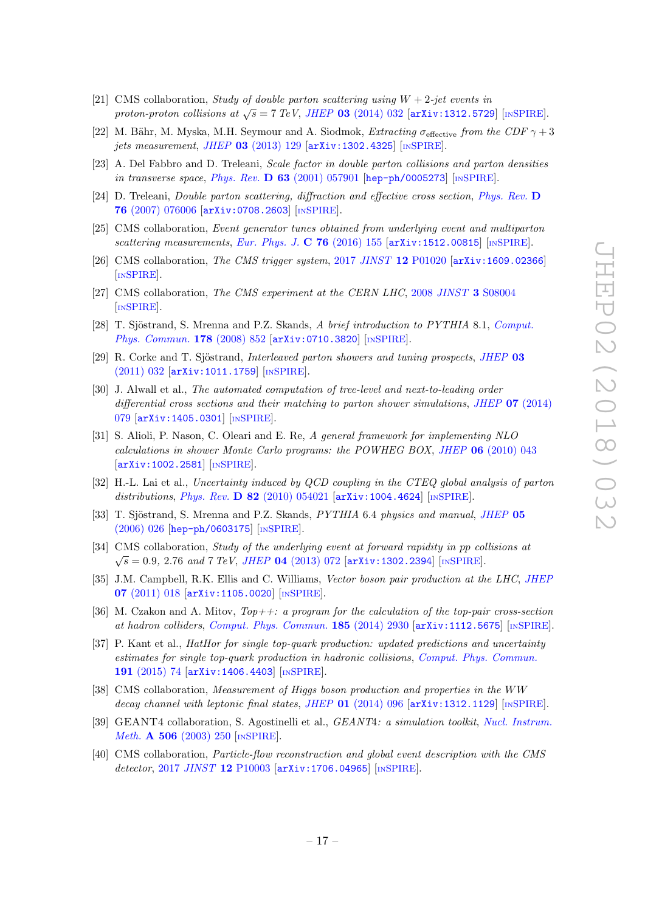- <span id="page-17-4"></span>[21] CMS collaboration, *Study of double parton scattering using*  $W + 2$ -jet events in proton-proton collisions at  $\sqrt{s} = 7 \text{ TeV}$ , JHEP 03 [\(2014\) 032](https://doi.org/10.1007/JHEP03(2014)032) [[arXiv:1312.5729](https://arxiv.org/abs/1312.5729)] [IN[SPIRE](https://inspirehep.net/search?p=find+EPRINT+arXiv:1312.5729)].
- <span id="page-17-0"></span>[22] M. Bähr, M. Myska, M.H. Seymour and A. Siodmok, Extracting  $\sigma_{\text{effective}}$  from the CDF  $\gamma + 3$ jets measurement, JHEP  $\overline{03}$  [\(2013\) 129](https://doi.org/10.1007/JHEP03(2013)129)  $\overline{arXiv:1302.4325}$  $\overline{arXiv:1302.4325}$  $\overline{arXiv:1302.4325}$  [IN[SPIRE](https://inspirehep.net/search?p=find+EPRINT+arXiv:1302.4325)].
- <span id="page-17-1"></span>[23] A. Del Fabbro and D. Treleani, Scale factor in double parton collisions and parton densities in transverse space, Phys. Rev. D 63 [\(2001\) 057901](https://doi.org/10.1103/PhysRevD.63.057901) [[hep-ph/0005273](https://arxiv.org/abs/hep-ph/0005273)] [IN[SPIRE](https://inspirehep.net/search?p=find+EPRINT+hep-ph/0005273)].
- <span id="page-17-2"></span>[24] D. Treleani, Double parton scattering, diffraction and effective cross section, [Phys. Rev.](https://doi.org/10.1103/PhysRevD.76.076006) D 76 [\(2007\) 076006](https://doi.org/10.1103/PhysRevD.76.076006) [[arXiv:0708.2603](https://arxiv.org/abs/0708.2603)] [IN[SPIRE](https://inspirehep.net/search?p=find+EPRINT+arXiv:0708.2603)].
- <span id="page-17-3"></span>[25] CMS collaboration, Event generator tunes obtained from underlying event and multiparton scattering measurements, [Eur. Phys. J.](https://doi.org/10.1140/epjc/s10052-016-3988-x) C  $76$  (2016) 155 [[arXiv:1512.00815](https://arxiv.org/abs/1512.00815)] [IN[SPIRE](https://inspirehep.net/search?p=find+EPRINT+arXiv:1512.00815)].
- <span id="page-17-5"></span>[26] CMS collaboration, *The CMS trigger system*, 2017 *JINST* 12 [P01020](https://doi.org/10.1088/1748-0221/12/01/P01020) [[arXiv:1609.02366](https://arxiv.org/abs/1609.02366)] [IN[SPIRE](https://inspirehep.net/search?p=find+EPRINT+arXiv:1609.02366)].
- <span id="page-17-6"></span>[27] CMS collaboration, The CMS experiment at the CERN LHC, 2008 JINST 3 [S08004](https://doi.org/10.1088/1748-0221/3/08/S08004) [IN[SPIRE](https://inspirehep.net/search?p=find+J+%22JINST,3,S08004%22)].
- <span id="page-17-7"></span>[28] T. Sjöstrand, S. Mrenna and P.Z. Skands, A brief introduction to PYTHIA 8.1, [Comput.](https://doi.org/10.1016/j.cpc.2008.01.036) [Phys. Commun.](https://doi.org/10.1016/j.cpc.2008.01.036) 178 (2008) 852 [[arXiv:0710.3820](https://arxiv.org/abs/0710.3820)] [IN[SPIRE](https://inspirehep.net/search?p=find+EPRINT+arXiv:0710.3820)].
- <span id="page-17-8"></span>[29] R. Corke and T. Sjöstrand, *Interleaved parton showers and tuning prospects*, *[JHEP](https://doi.org/10.1007/JHEP03(2011)032)* 03 [\(2011\) 032](https://doi.org/10.1007/JHEP03(2011)032) [[arXiv:1011.1759](https://arxiv.org/abs/1011.1759)] [IN[SPIRE](https://inspirehep.net/search?p=find+EPRINT+arXiv:1011.1759)].
- <span id="page-17-9"></span>[30] J. Alwall et al., The automated computation of tree-level and next-to-leading order differential cross sections and their matching to parton shower simulations, JHEP 07 [\(2014\)](https://doi.org/10.1007/JHEP07(2014)079) [079](https://doi.org/10.1007/JHEP07(2014)079) [[arXiv:1405.0301](https://arxiv.org/abs/1405.0301)] [IN[SPIRE](https://inspirehep.net/search?p=find+EPRINT+arXiv:1405.0301)].
- <span id="page-17-10"></span>[31] S. Alioli, P. Nason, C. Oleari and E. Re, A general framework for implementing NLO calculations in shower Monte Carlo programs: the POWHEG BOX, JHEP 06 [\(2010\) 043](https://doi.org/10.1007/JHEP06(2010)043) [[arXiv:1002.2581](https://arxiv.org/abs/1002.2581)] [IN[SPIRE](https://inspirehep.net/search?p=find+EPRINT+arXiv:1002.2581)].
- <span id="page-17-11"></span>[32] H.-L. Lai et al., Uncertainty induced by QCD coupling in the CTEQ global analysis of parton distributions, Phys. Rev. D  $82$  [\(2010\) 054021](https://doi.org/10.1103/PhysRevD.82.054021) [[arXiv:1004.4624](https://arxiv.org/abs/1004.4624)] [IN[SPIRE](https://inspirehep.net/search?p=find+EPRINT+arXiv:1004.4624)].
- <span id="page-17-12"></span>[33] T. Sjöstrand, S. Mrenna and P.Z. Skands, PYTHIA 6.4 physics and manual, [JHEP](https://doi.org/10.1088/1126-6708/2006/05/026) 05 [\(2006\) 026](https://doi.org/10.1088/1126-6708/2006/05/026) [[hep-ph/0603175](https://arxiv.org/abs/hep-ph/0603175)] [IN[SPIRE](https://inspirehep.net/search?p=find+EPRINT+hep-ph/0603175)].
- <span id="page-17-13"></span>[34] CMS collaboration, *Study of the underlying event at forward rapidity in pp collisions at*  $\sqrt{s} = 0.9, 2.76$  and 7 TeV, JHEP 04 [\(2013\) 072](https://doi.org/10.1007/JHEP04(2013)072) [[arXiv:1302.2394](https://arxiv.org/abs/1302.2394)] [IN[SPIRE](https://inspirehep.net/search?p=find+EPRINT+arXiv:1302.2394)].
- <span id="page-17-14"></span>[35] J.M. Campbell, R.K. Ellis and C. Williams, Vector boson pair production at the LHC, [JHEP](https://doi.org/10.1007/JHEP07(2011)018) 07 [\(2011\) 018](https://doi.org/10.1007/JHEP07(2011)018) [[arXiv:1105.0020](https://arxiv.org/abs/1105.0020)] [IN[SPIRE](https://inspirehep.net/search?p=find+EPRINT+arXiv:1105.0020)].
- [36] M. Czakon and A. Mitov,  $Top++: a program$  for the calculation of the top-pair cross-section at hadron colliders, [Comput. Phys. Commun.](https://doi.org/10.1016/j.cpc.2014.06.021) 185 (2014) 2930 [[arXiv:1112.5675](https://arxiv.org/abs/1112.5675)] [IN[SPIRE](https://inspirehep.net/search?p=find+EPRINT+arXiv:1112.5675)].
- [37] P. Kant et al., *HatHor for single top-quark production: updated predictions and uncertainty* estimates for single top-quark production in hadronic collisions, [Comput. Phys. Commun.](https://doi.org/10.1016/j.cpc.2015.02.001) 191 [\(2015\) 74](https://doi.org/10.1016/j.cpc.2015.02.001) [[arXiv:1406.4403](https://arxiv.org/abs/1406.4403)] [IN[SPIRE](https://inspirehep.net/search?p=find+EPRINT+arXiv:1406.4403)].
- <span id="page-17-15"></span>[38] CMS collaboration, Measurement of Higgs boson production and properties in the WW decay channel with leptonic final states, JHEP  $01$  [\(2014\) 096](https://doi.org/10.1007/JHEP01(2014)096) [[arXiv:1312.1129](https://arxiv.org/abs/1312.1129)] [IN[SPIRE](https://inspirehep.net/search?p=find+EPRINT+arXiv:1312.1129)].
- <span id="page-17-16"></span>[39] GEANT4 collaboration, S. Agostinelli et al., *GEANT4: a simulation toolkit, [Nucl. Instrum.](https://doi.org/10.1016/S0168-9002(03)01368-8)* Meth. **A 506** [\(2003\) 250](https://doi.org/10.1016/S0168-9002(03)01368-8) [IN[SPIRE](https://inspirehep.net/search?p=find+J+%22Nucl.Instrum.Meth.,A506,250%22)].
- <span id="page-17-17"></span>[40] CMS collaboration, Particle-flow reconstruction and global event description with the CMS  $detection$ , 2017 JINST 12 [P10003](https://doi.org/10.1088/1748-0221/12/10/P10003)  $arXiv:1706.04965$  [IN[SPIRE](https://inspirehep.net/search?p=find+EPRINT+arXiv:1706.04965)].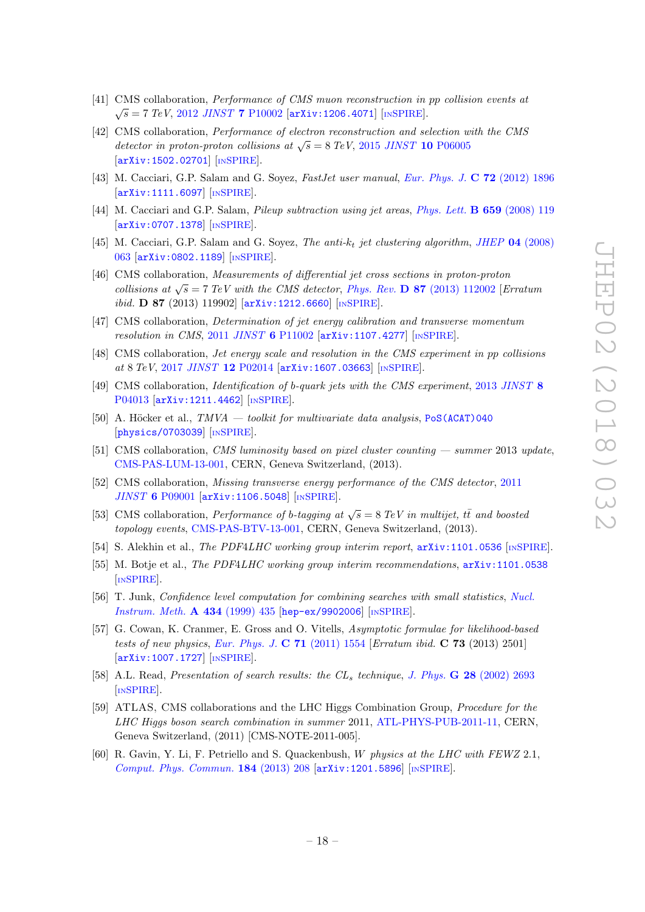- <span id="page-18-0"></span>[41] CMS collaboration, Performance of CMS muon reconstruction in pp collision events at  $\sqrt{s}$  = 7 TeV, 2012 JINST 7 [P10002](https://doi.org/10.1088/1748-0221/7/10/P10002) [[arXiv:1206.4071](https://arxiv.org/abs/1206.4071)] [IN[SPIRE](https://inspirehep.net/search?p=find+EPRINT+arXiv:1206.4071)].
- <span id="page-18-1"></span>[42] CMS collaboration, Performance of electron reconstruction and selection with the CMS detector in proton-proton collisions at  $\sqrt{s} = 8 \text{ TeV}$ , 2015 JINST 10 [P06005](https://doi.org/10.1088/1748-0221/10/06/P06005) [[arXiv:1502.02701](https://arxiv.org/abs/1502.02701)] [IN[SPIRE](https://inspirehep.net/search?p=find+EPRINT+arXiv:1502.02701)].
- <span id="page-18-2"></span>[43] M. Cacciari, G.P. Salam and G. Soyez, FastJet user manual, [Eur. Phys. J.](https://doi.org/10.1140/epjc/s10052-012-1896-2) C 72 (2012) 1896 [[arXiv:1111.6097](https://arxiv.org/abs/1111.6097)] [IN[SPIRE](https://inspirehep.net/search?p=find+EPRINT+arXiv:1111.6097)].
- <span id="page-18-3"></span>[44] M. Cacciari and G.P. Salam, *Pileup subtraction using jet areas, [Phys. Lett.](https://doi.org/10.1016/j.physletb.2007.09.077)* **B 659** (2008) 119 [[arXiv:0707.1378](https://arxiv.org/abs/0707.1378)] [IN[SPIRE](https://inspirehep.net/search?p=find+EPRINT+arXiv:0707.1378)].
- <span id="page-18-4"></span>[45] M. Cacciari, G.P. Salam and G. Soyez, The anti- $k_t$  jet clustering algorithm, JHEP 04 [\(2008\)](https://doi.org/10.1088/1126-6708/2008/04/063) [063](https://doi.org/10.1088/1126-6708/2008/04/063) [[arXiv:0802.1189](https://arxiv.org/abs/0802.1189)] [IN[SPIRE](https://inspirehep.net/search?p=find+EPRINT+arXiv:0802.1189)].
- <span id="page-18-5"></span>[46] CMS collaboration, Measurements of differential jet cross sections in proton-proton collisions at  $\sqrt{s} = 7$  TeV with the CMS detector, Phys. Rev. **D 87** [\(2013\) 112002](https://doi.org/10.1103/PhysRevD.87.112002) [Erratum ibid. **D 87** (2013) 119902 [[arXiv:1212.6660](https://arxiv.org/abs/1212.6660)] [IN[SPIRE](https://inspirehep.net/search?p=find+EPRINT+arXiv:1212.6660)].
- <span id="page-18-6"></span>[47] CMS collaboration, Determination of jet energy calibration and transverse momentum resolution in CMS,  $2011$  JINST 6 [P11002](https://doi.org/10.1088/1748-0221/6/11/P11002)  $\left[$ [arXiv:1107.4277](https://arxiv.org/abs/1107.4277) $\right]$   $\left[$ IN[SPIRE](https://inspirehep.net/search?p=find+EPRINT+arXiv:1107.4277) $\right]$ .
- <span id="page-18-7"></span>[48] CMS collaboration, *Jet energy scale and resolution in the CMS experiment in pp collisions* at 8 TeV, 2017 JINST 12 [P02014](https://doi.org/10.1088/1748-0221/12/02/P02014)  $arXiv:1607.03663$  [IN[SPIRE](https://inspirehep.net/search?p=find+EPRINT+arXiv:1607.03663)].
- <span id="page-18-8"></span>[49] CMS collaboration, Identification of b-quark jets with the CMS experiment, 2013 [JINST](https://doi.org/10.1088/1748-0221/8/04/P04013) 8 [P04013](https://doi.org/10.1088/1748-0221/8/04/P04013) [[arXiv:1211.4462](https://arxiv.org/abs/1211.4462)] [IN[SPIRE](https://inspirehep.net/search?p=find+EPRINT+arXiv:1211.4462)].
- <span id="page-18-9"></span>[50] A. Höcker et al.,  $TMVA - toolkit$  for multivariate data analysis, [PoS\(ACAT\)040](https://pos.sissa.it/contribution?id=PoS(ACAT)040) [[physics/0703039](https://arxiv.org/abs/physics/0703039)] [IN[SPIRE](https://inspirehep.net/search?p=find+EPRINT+physics/0703039)].
- <span id="page-18-10"></span>[51] CMS collaboration, *CMS luminosity based on pixel cluster counting — summer* 2013 update, [CMS-PAS-LUM-13-001,](http://cds.cern.ch/record/1598864) CERN, Geneva Switzerland, (2013).
- <span id="page-18-11"></span>[52] CMS collaboration, *Missing transverse energy performance of the CMS detector*, [2011](https://doi.org/10.1088/1748-0221/6/09/P09001) JINST 6 [P09001](https://doi.org/10.1088/1748-0221/6/09/P09001) [[arXiv:1106.5048](https://arxiv.org/abs/1106.5048)] [IN[SPIRE](https://inspirehep.net/search?p=find+EPRINT+arXiv:1106.5048)].
- <span id="page-18-12"></span>[53] CMS collaboration, *Performance of b-tagging at*  $\sqrt{s} = 8 \text{ TeV}$  in multijet, tt and boosted topology events, [CMS-PAS-BTV-13-001,](http://cds.cern.ch/record/1581306) CERN, Geneva Switzerland, (2013).
- <span id="page-18-13"></span>[54] S. Alekhin et al., *The PDF4LHC working group interim report*,  $arXiv:1101.0536$  [IN[SPIRE](https://inspirehep.net/search?p=find+EPRINT+arXiv:1101.0536)].
- <span id="page-18-14"></span>[55] M. Botje et al., The PDF4LHC working group interim recommendations,  $arXiv:1101.0538$ [IN[SPIRE](https://inspirehep.net/search?p=find+EPRINT+arXiv:1101.0538)].
- <span id="page-18-15"></span>[56] T. Junk, Confidence level computation for combining searches with small statistics, [Nucl.](https://doi.org/10.1016/S0168-9002(99)00498-2) [Instrum. Meth.](https://doi.org/10.1016/S0168-9002(99)00498-2) A 434 (1999) 435 [[hep-ex/9902006](https://arxiv.org/abs/hep-ex/9902006)] [IN[SPIRE](https://inspirehep.net/search?p=find+J+%22Nucl.Instrum.Meth.,A434,435%22)].
- [57] G. Cowan, K. Cranmer, E. Gross and O. Vitells, Asymptotic formulae for likelihood-based tests of new physics, [Eur. Phys. J.](https://doi.org/10.1140/epjc/s10052-011-1554-0) C 71 (2011) 1554 [Erratum ibid. C 73 (2013) 2501] [[arXiv:1007.1727](https://arxiv.org/abs/1007.1727)] [IN[SPIRE](https://inspirehep.net/search?p=find+EPRINT+arXiv:1007.1727)].
- <span id="page-18-16"></span>[58] A.L. Read, Presentation of search results: the CL<sub>s</sub> technique, J. Phys. **G 28** [\(2002\) 2693](https://doi.org/10.1088/0954-3899/28/10/313) [IN[SPIRE](https://inspirehep.net/search?p=find+J+%22J.Phys.,G28,2693%22)].
- <span id="page-18-17"></span>[59] ATLAS, CMS collaborations and the LHC Higgs Combination Group, Procedure for the LHC Higgs boson search combination in summer 2011, [ATL-PHYS-PUB-2011-11,](http://cds.cern.ch/record/1379837) CERN, Geneva Switzerland, (2011) [CMS-NOTE-2011-005].
- <span id="page-18-18"></span>[60] R. Gavin, Y. Li, F. Petriello and S. Quackenbush, W physics at the LHC with FEWZ 2.1, [Comput. Phys. Commun.](https://doi.org/10.1016/j.cpc.2012.09.005) 184 (2013) 208 [[arXiv:1201.5896](https://arxiv.org/abs/1201.5896)] [IN[SPIRE](https://inspirehep.net/search?p=find+EPRINT+arXiv:1201.5896)].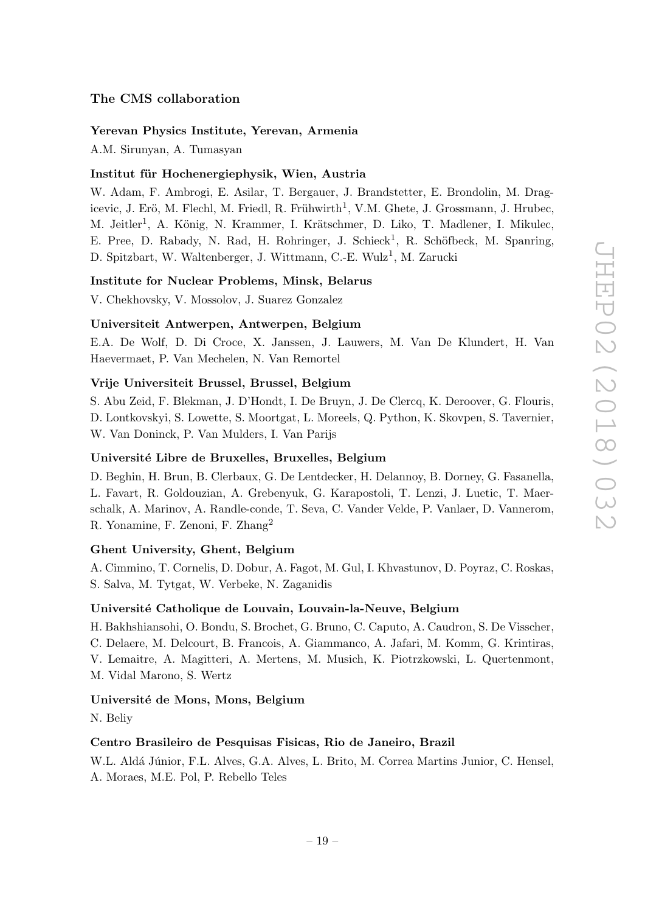# The CMS collaboration

### <span id="page-19-0"></span>Yerevan Physics Institute, Yerevan, Armenia

A.M. Sirunyan, A. Tumasyan

# Institut für Hochenergiephysik, Wien, Austria

W. Adam, F. Ambrogi, E. Asilar, T. Bergauer, J. Brandstetter, E. Brondolin, M. Dragicevic, J. Erö, M. Flechl, M. Friedl, R. Frühwirth<sup>1</sup>, V.M. Ghete, J. Grossmann, J. Hrubec, M. Jeitler<sup>1</sup>, A. König, N. Krammer, I. Krätschmer, D. Liko, T. Madlener, I. Mikulec, E. Pree, D. Rabady, N. Rad, H. Rohringer, J. Schieck<sup>1</sup>, R. Schöfbeck, M. Spanring, D. Spitzbart, W. Waltenberger, J. Wittmann, C.-E. Wulz<sup>1</sup>, M. Zarucki

#### Institute for Nuclear Problems, Minsk, Belarus

V. Chekhovsky, V. Mossolov, J. Suarez Gonzalez

### Universiteit Antwerpen, Antwerpen, Belgium

E.A. De Wolf, D. Di Croce, X. Janssen, J. Lauwers, M. Van De Klundert, H. Van Haevermaet, P. Van Mechelen, N. Van Remortel

#### Vrije Universiteit Brussel, Brussel, Belgium

S. Abu Zeid, F. Blekman, J. D'Hondt, I. De Bruyn, J. De Clercq, K. Deroover, G. Flouris, D. Lontkovskyi, S. Lowette, S. Moortgat, L. Moreels, Q. Python, K. Skovpen, S. Tavernier, W. Van Doninck, P. Van Mulders, I. Van Parijs

### Universit´e Libre de Bruxelles, Bruxelles, Belgium

D. Beghin, H. Brun, B. Clerbaux, G. De Lentdecker, H. Delannoy, B. Dorney, G. Fasanella, L. Favart, R. Goldouzian, A. Grebenyuk, G. Karapostoli, T. Lenzi, J. Luetic, T. Maerschalk, A. Marinov, A. Randle-conde, T. Seva, C. Vander Velde, P. Vanlaer, D. Vannerom, R. Yonamine, F. Zenoni, F. Zhang<sup>2</sup>

# Ghent University, Ghent, Belgium

A. Cimmino, T. Cornelis, D. Dobur, A. Fagot, M. Gul, I. Khvastunov, D. Poyraz, C. Roskas, S. Salva, M. Tytgat, W. Verbeke, N. Zaganidis

### Université Catholique de Louvain, Louvain-la-Neuve, Belgium

H. Bakhshiansohi, O. Bondu, S. Brochet, G. Bruno, C. Caputo, A. Caudron, S. De Visscher, C. Delaere, M. Delcourt, B. Francois, A. Giammanco, A. Jafari, M. Komm, G. Krintiras, V. Lemaitre, A. Magitteri, A. Mertens, M. Musich, K. Piotrzkowski, L. Quertenmont, M. Vidal Marono, S. Wertz

### Université de Mons, Mons, Belgium

N. Beliy

# Centro Brasileiro de Pesquisas Fisicas, Rio de Janeiro, Brazil

W.L. Aldá Júnior, F.L. Alves, G.A. Alves, L. Brito, M. Correa Martins Junior, C. Hensel, A. Moraes, M.E. Pol, P. Rebello Teles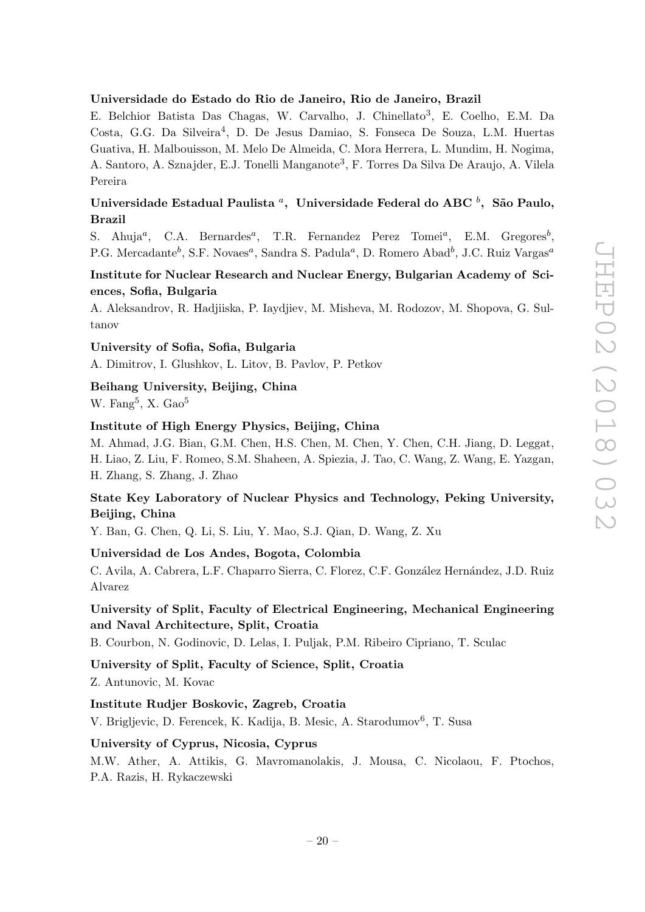### Universidade do Estado do Rio de Janeiro, Rio de Janeiro, Brazil

E. Belchior Batista Das Chagas, W. Carvalho, J. Chinellato<sup>3</sup>, E. Coelho, E.M. Da Costa, G.G. Da Silveira<sup>4</sup>, D. De Jesus Damiao, S. Fonseca De Souza, L.M. Huertas Guativa, H. Malbouisson, M. Melo De Almeida, C. Mora Herrera, L. Mundim, H. Nogima, A. Santoro, A. Sznajder, E.J. Tonelli Manganote<sup>3</sup>, F. Torres Da Silva De Araujo, A. Vilela Pereira

# Universidade Estadual Paulista <sup>a</sup>, Universidade Federal do ABC  $^b$ , São Paulo, Brazil

S. Ahuja<sup>a</sup>, C.A. Bernardes<sup>a</sup>, T.R. Fernandez Perez Tomei<sup>a</sup>, E.M. Gregores<sup>b</sup>, P.G. Mercadante<sup>b</sup>, S.F. Novaes<sup>a</sup>, Sandra S. Padula<sup>a</sup>, D. Romero Abad<sup>b</sup>, J.C. Ruiz Vargas<sup>a</sup>

# Institute for Nuclear Research and Nuclear Energy, Bulgarian Academy of Sciences, Sofia, Bulgaria

A. Aleksandrov, R. Hadjiiska, P. Iaydjiev, M. Misheva, M. Rodozov, M. Shopova, G. Sultanov

#### University of Sofia, Sofia, Bulgaria

A. Dimitrov, I. Glushkov, L. Litov, B. Pavlov, P. Petkov

# Beihang University, Beijing, China

W. Fang $^5$ , X. Gao $^5$ 

# Institute of High Energy Physics, Beijing, China

M. Ahmad, J.G. Bian, G.M. Chen, H.S. Chen, M. Chen, Y. Chen, C.H. Jiang, D. Leggat, H. Liao, Z. Liu, F. Romeo, S.M. Shaheen, A. Spiezia, J. Tao, C. Wang, Z. Wang, E. Yazgan, H. Zhang, S. Zhang, J. Zhao

# State Key Laboratory of Nuclear Physics and Technology, Peking University, Beijing, China

Y. Ban, G. Chen, Q. Li, S. Liu, Y. Mao, S.J. Qian, D. Wang, Z. Xu

# Universidad de Los Andes, Bogota, Colombia

C. Avila, A. Cabrera, L.F. Chaparro Sierra, C. Florez, C.F. González Hernández, J.D. Ruiz Alvarez

# University of Split, Faculty of Electrical Engineering, Mechanical Engineering and Naval Architecture, Split, Croatia

B. Courbon, N. Godinovic, D. Lelas, I. Puljak, P.M. Ribeiro Cipriano, T. Sculac

### University of Split, Faculty of Science, Split, Croatia

Z. Antunovic, M. Kovac

### Institute Rudjer Boskovic, Zagreb, Croatia

V. Brigljevic, D. Ferencek, K. Kadija, B. Mesic, A. Starodumov<sup>6</sup>, T. Susa

### University of Cyprus, Nicosia, Cyprus

M.W. Ather, A. Attikis, G. Mavromanolakis, J. Mousa, C. Nicolaou, F. Ptochos, P.A. Razis, H. Rykaczewski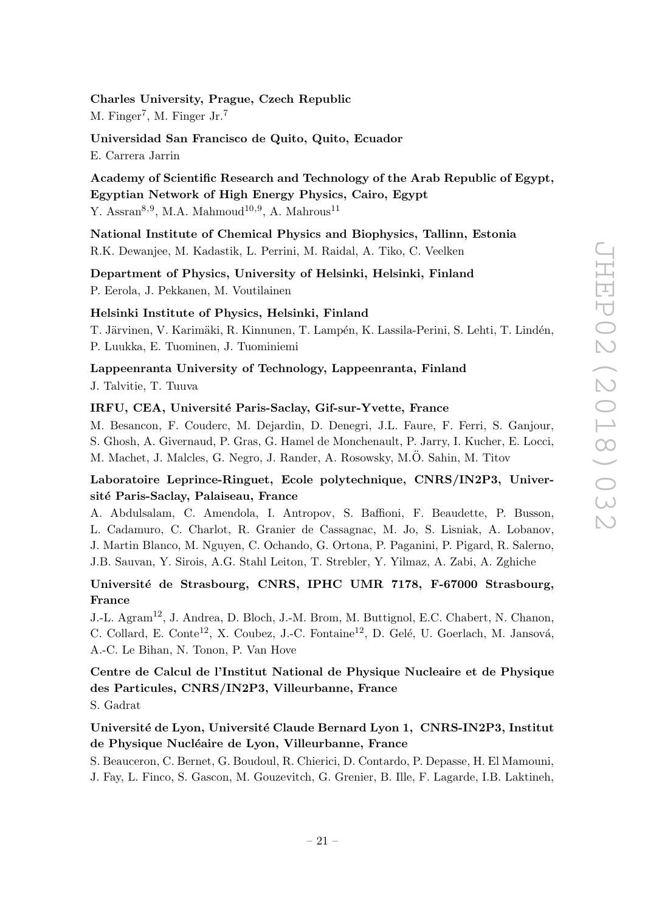# Charles University, Prague, Czech Republic

M. Finger<sup>7</sup>, M. Finger Jr.<sup>7</sup>

Universidad San Francisco de Quito, Quito, Ecuador E. Carrera Jarrin

Academy of Scientific Research and Technology of the Arab Republic of Egypt, Egyptian Network of High Energy Physics, Cairo, Egypt Y. Assran<sup>8,9</sup>, M.A. Mahmoud<sup>10,9</sup>, A. Mahrous<sup>11</sup>

National Institute of Chemical Physics and Biophysics, Tallinn, Estonia R.K. Dewanjee, M. Kadastik, L. Perrini, M. Raidal, A. Tiko, C. Veelken

Department of Physics, University of Helsinki, Helsinki, Finland

P. Eerola, J. Pekkanen, M. Voutilainen

### Helsinki Institute of Physics, Helsinki, Finland

T. Järvinen, V. Karimäki, R. Kinnunen, T. Lampén, K. Lassila-Perini, S. Lehti, T. Lindén, P. Luukka, E. Tuominen, J. Tuominiemi

Lappeenranta University of Technology, Lappeenranta, Finland J. Talvitie, T. Tuuva

# IRFU, CEA, Université Paris-Saclay, Gif-sur-Yvette, France

M. Besancon, F. Couderc, M. Dejardin, D. Denegri, J.L. Faure, F. Ferri, S. Ganjour, S. Ghosh, A. Givernaud, P. Gras, G. Hamel de Monchenault, P. Jarry, I. Kucher, E. Locci, M. Machet, J. Malcles, G. Negro, J. Rander, A. Rosowsky, M.O. Sahin, M. Titov ¨

# Laboratoire Leprince-Ringuet, Ecole polytechnique, CNRS/IN2P3, Université Paris-Saclay, Palaiseau, France

A. Abdulsalam, C. Amendola, I. Antropov, S. Baffioni, F. Beaudette, P. Busson, L. Cadamuro, C. Charlot, R. Granier de Cassagnac, M. Jo, S. Lisniak, A. Lobanov, J. Martin Blanco, M. Nguyen, C. Ochando, G. Ortona, P. Paganini, P. Pigard, R. Salerno, J.B. Sauvan, Y. Sirois, A.G. Stahl Leiton, T. Strebler, Y. Yilmaz, A. Zabi, A. Zghiche

# Université de Strasbourg, CNRS, IPHC UMR 7178, F-67000 Strasbourg, France

J.-L. Agram12, J. Andrea, D. Bloch, J.-M. Brom, M. Buttignol, E.C. Chabert, N. Chanon, C. Collard, E. Conte<sup>12</sup>, X. Coubez, J.-C. Fontaine<sup>12</sup>, D. Gelé, U. Goerlach, M. Jansová, A.-C. Le Bihan, N. Tonon, P. Van Hove

Centre de Calcul de l'Institut National de Physique Nucleaire et de Physique des Particules, CNRS/IN2P3, Villeurbanne, France S. Gadrat

# Université de Lyon, Université Claude Bernard Lyon 1, CNRS-IN2P3, Institut de Physique Nucléaire de Lyon, Villeurbanne, France

S. Beauceron, C. Bernet, G. Boudoul, R. Chierici, D. Contardo, P. Depasse, H. El Mamouni, J. Fay, L. Finco, S. Gascon, M. Gouzevitch, G. Grenier, B. Ille, F. Lagarde, I.B. Laktineh,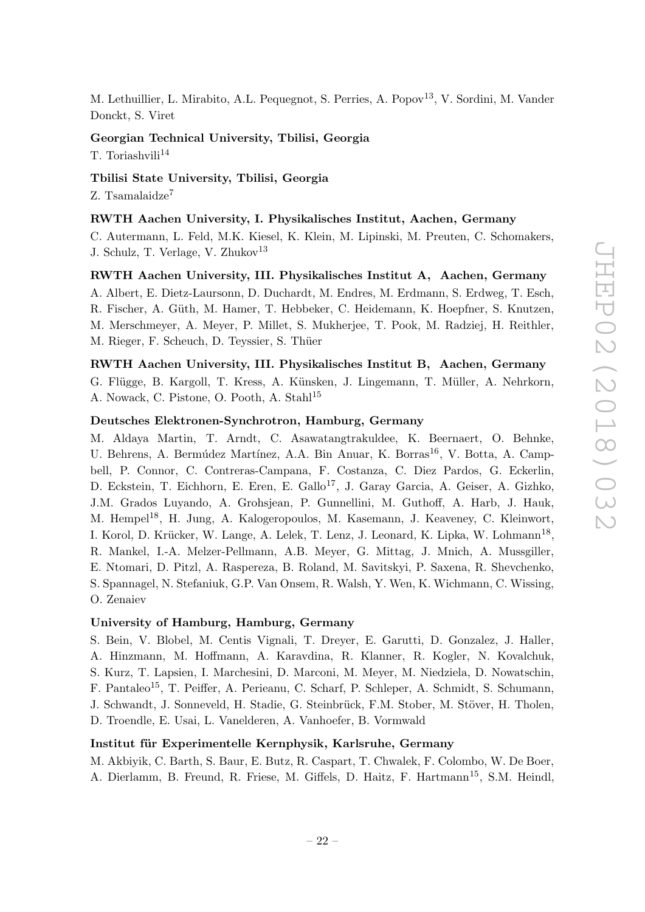M. Lethuillier, L. Mirabito, A.L. Pequegnot, S. Perries, A. Popov<sup>13</sup>, V. Sordini, M. Vander Donckt, S. Viret

### Georgian Technical University, Tbilisi, Georgia

T. Toriashvili $^{14}$ 

### Tbilisi State University, Tbilisi, Georgia

Z. Tsamalaidze<sup>7</sup>

### RWTH Aachen University, I. Physikalisches Institut, Aachen, Germany

C. Autermann, L. Feld, M.K. Kiesel, K. Klein, M. Lipinski, M. Preuten, C. Schomakers, J. Schulz, T. Verlage, V. Zhukov<sup>13</sup>

#### RWTH Aachen University, III. Physikalisches Institut A, Aachen, Germany

A. Albert, E. Dietz-Laursonn, D. Duchardt, M. Endres, M. Erdmann, S. Erdweg, T. Esch, R. Fischer, A. Güth, M. Hamer, T. Hebbeker, C. Heidemann, K. Hoepfner, S. Knutzen, M. Merschmeyer, A. Meyer, P. Millet, S. Mukherjee, T. Pook, M. Radziej, H. Reithler, M. Rieger, F. Scheuch, D. Teyssier, S. Thüer

### RWTH Aachen University, III. Physikalisches Institut B, Aachen, Germany

G. Flügge, B. Kargoll, T. Kress, A. Künsken, J. Lingemann, T. Müller, A. Nehrkorn, A. Nowack, C. Pistone, O. Pooth, A. Stahl<sup>15</sup>

### Deutsches Elektronen-Synchrotron, Hamburg, Germany

M. Aldaya Martin, T. Arndt, C. Asawatangtrakuldee, K. Beernaert, O. Behnke, U. Behrens, A. Bermúdez Martínez, A.A. Bin Anuar, K. Borras<sup>16</sup>, V. Botta, A. Campbell, P. Connor, C. Contreras-Campana, F. Costanza, C. Diez Pardos, G. Eckerlin, D. Eckstein, T. Eichhorn, E. Eren, E. Gallo<sup>17</sup>, J. Garay Garcia, A. Geiser, A. Gizhko, J.M. Grados Luyando, A. Grohsjean, P. Gunnellini, M. Guthoff, A. Harb, J. Hauk, M. Hempel<sup>18</sup>, H. Jung, A. Kalogeropoulos, M. Kasemann, J. Keaveney, C. Kleinwort, I. Korol, D. Krücker, W. Lange, A. Lelek, T. Lenz, J. Leonard, K. Lipka, W. Lohmann<sup>18</sup>, R. Mankel, I.-A. Melzer-Pellmann, A.B. Meyer, G. Mittag, J. Mnich, A. Mussgiller, E. Ntomari, D. Pitzl, A. Raspereza, B. Roland, M. Savitskyi, P. Saxena, R. Shevchenko, S. Spannagel, N. Stefaniuk, G.P. Van Onsem, R. Walsh, Y. Wen, K. Wichmann, C. Wissing, O. Zenaiev

### University of Hamburg, Hamburg, Germany

S. Bein, V. Blobel, M. Centis Vignali, T. Dreyer, E. Garutti, D. Gonzalez, J. Haller, A. Hinzmann, M. Hoffmann, A. Karavdina, R. Klanner, R. Kogler, N. Kovalchuk, S. Kurz, T. Lapsien, I. Marchesini, D. Marconi, M. Meyer, M. Niedziela, D. Nowatschin, F. Pantaleo15, T. Peiffer, A. Perieanu, C. Scharf, P. Schleper, A. Schmidt, S. Schumann, J. Schwandt, J. Sonneveld, H. Stadie, G. Steinbrück, F.M. Stober, M. Stöver, H. Tholen, D. Troendle, E. Usai, L. Vanelderen, A. Vanhoefer, B. Vormwald

### Institut für Experimentelle Kernphysik, Karlsruhe, Germany

M. Akbiyik, C. Barth, S. Baur, E. Butz, R. Caspart, T. Chwalek, F. Colombo, W. De Boer, A. Dierlamm, B. Freund, R. Friese, M. Giffels, D. Haitz, F. Hartmann<sup>15</sup>, S.M. Heindl,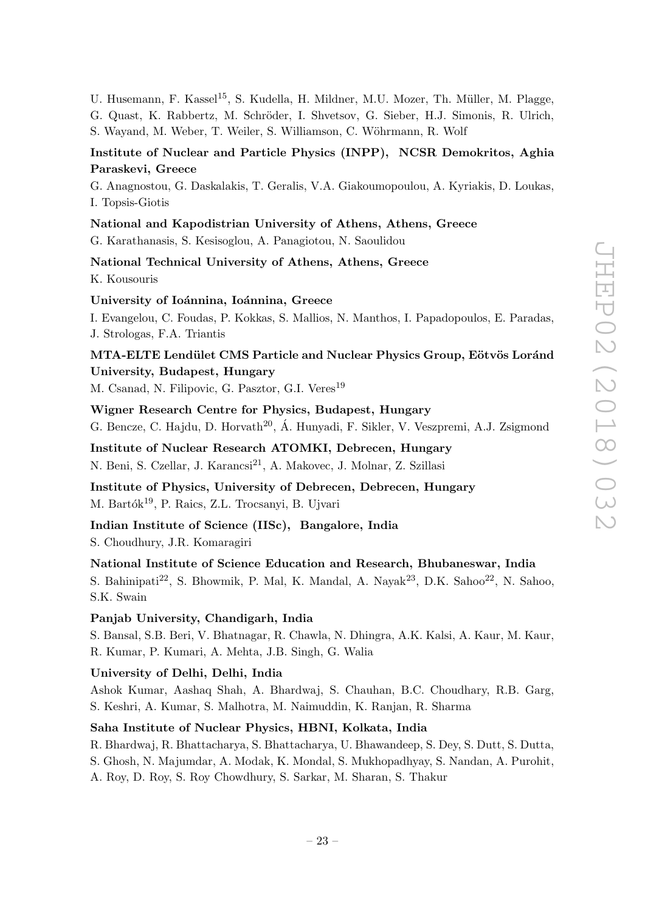U. Husemann, F. Kassel<sup>15</sup>, S. Kudella, H. Mildner, M.U. Mozer, Th. Müller, M. Plagge, G. Quast, K. Rabbertz, M. Schröder, I. Shvetsov, G. Sieber, H.J. Simonis, R. Ulrich, S. Wayand, M. Weber, T. Weiler, S. Williamson, C. Wöhrmann, R. Wolf

# Institute of Nuclear and Particle Physics (INPP), NCSR Demokritos, Aghia Paraskevi, Greece

G. Anagnostou, G. Daskalakis, T. Geralis, V.A. Giakoumopoulou, A. Kyriakis, D. Loukas, I. Topsis-Giotis

### National and Kapodistrian University of Athens, Athens, Greece

G. Karathanasis, S. Kesisoglou, A. Panagiotou, N. Saoulidou

### National Technical University of Athens, Athens, Greece

K. Kousouris

### University of Ioánnina, Ioánnina, Greece

I. Evangelou, C. Foudas, P. Kokkas, S. Mallios, N. Manthos, I. Papadopoulos, E. Paradas,

J. Strologas, F.A. Triantis

# MTA-ELTE Lendület CMS Particle and Nuclear Physics Group, Eötvös Loránd University, Budapest, Hungary

M. Csanad, N. Filipovic, G. Pasztor, G.I. Veres<sup>19</sup>

Wigner Research Centre for Physics, Budapest, Hungary G. Bencze, C. Hajdu, D. Horvath<sup>20</sup>, Á. Hunyadi, F. Sikler, V. Veszpremi, A.J. Zsigmond

Institute of Nuclear Research ATOMKI, Debrecen, Hungary N. Beni, S. Czellar, J. Karancsi<sup>21</sup>, A. Makovec, J. Molnar, Z. Szillasi

Institute of Physics, University of Debrecen, Debrecen, Hungary M. Bartók<sup>19</sup>, P. Raics, Z.L. Trocsanyi, B. Ujvari

# Indian Institute of Science (IISc), Bangalore, India

S. Choudhury, J.R. Komaragiri

# National Institute of Science Education and Research, Bhubaneswar, India

S. Bahinipati<sup>22</sup>, S. Bhowmik, P. Mal, K. Mandal, A. Nayak<sup>23</sup>, D.K. Sahoo<sup>22</sup>, N. Sahoo, S.K. Swain

# Panjab University, Chandigarh, India

S. Bansal, S.B. Beri, V. Bhatnagar, R. Chawla, N. Dhingra, A.K. Kalsi, A. Kaur, M. Kaur, R. Kumar, P. Kumari, A. Mehta, J.B. Singh, G. Walia

# University of Delhi, Delhi, India

Ashok Kumar, Aashaq Shah, A. Bhardwaj, S. Chauhan, B.C. Choudhary, R.B. Garg, S. Keshri, A. Kumar, S. Malhotra, M. Naimuddin, K. Ranjan, R. Sharma

# Saha Institute of Nuclear Physics, HBNI, Kolkata, India

R. Bhardwaj, R. Bhattacharya, S. Bhattacharya, U. Bhawandeep, S. Dey, S. Dutt, S. Dutta,

S. Ghosh, N. Majumdar, A. Modak, K. Mondal, S. Mukhopadhyay, S. Nandan, A. Purohit,

A. Roy, D. Roy, S. Roy Chowdhury, S. Sarkar, M. Sharan, S. Thakur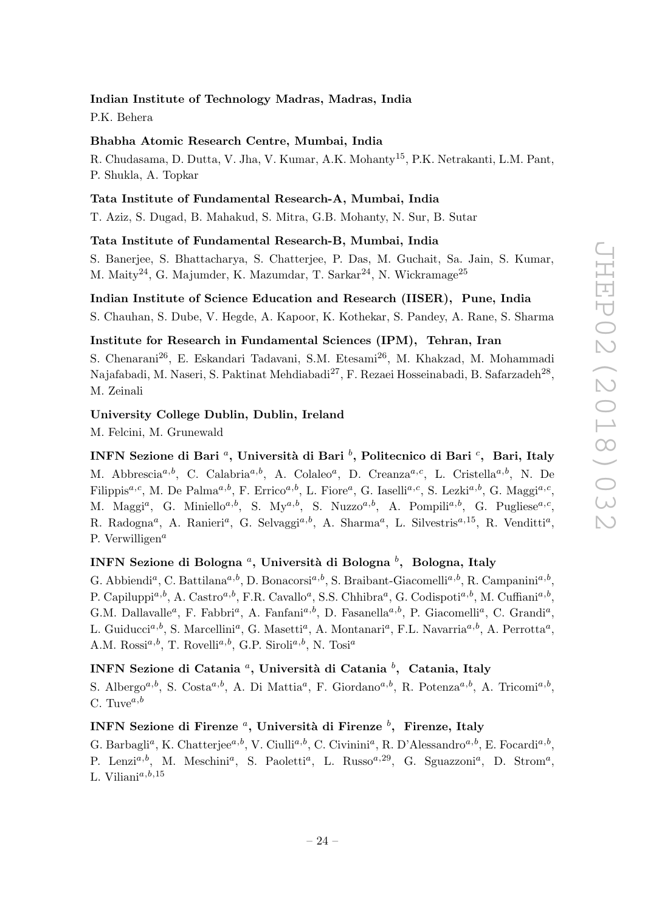### Indian Institute of Technology Madras, Madras, India

P.K. Behera

# Bhabha Atomic Research Centre, Mumbai, India

R. Chudasama, D. Dutta, V. Jha, V. Kumar, A.K. Mohanty<sup>15</sup>, P.K. Netrakanti, L.M. Pant, P. Shukla, A. Topkar

### Tata Institute of Fundamental Research-A, Mumbai, India

T. Aziz, S. Dugad, B. Mahakud, S. Mitra, G.B. Mohanty, N. Sur, B. Sutar

# Tata Institute of Fundamental Research-B, Mumbai, India

S. Banerjee, S. Bhattacharya, S. Chatterjee, P. Das, M. Guchait, Sa. Jain, S. Kumar, M. Maity<sup>24</sup>, G. Majumder, K. Mazumdar, T. Sarkar<sup>24</sup>, N. Wickramage<sup>25</sup>

#### Indian Institute of Science Education and Research (IISER), Pune, India

S. Chauhan, S. Dube, V. Hegde, A. Kapoor, K. Kothekar, S. Pandey, A. Rane, S. Sharma

### Institute for Research in Fundamental Sciences (IPM), Tehran, Iran

S. Chenarani26, E. Eskandari Tadavani, S.M. Etesami26, M. Khakzad, M. Mohammadi Najafabadi, M. Naseri, S. Paktinat Mehdiabadi<sup>27</sup>, F. Rezaei Hosseinabadi, B. Safarzadeh<sup>28</sup>, M. Zeinali

### University College Dublin, Dublin, Ireland

M. Felcini, M. Grunewald

INFN Sezione di Bari <sup>a</sup>, Università di Bari  $^b$ , Politecnico di Bari  $^c$ , Bari, Italy M. Abbrescia<sup>a,b</sup>, C. Calabria<sup>a,b</sup>, A. Colaleo<sup>a</sup>, D. Creanza<sup>a,c</sup>, L. Cristella<sup>a,b</sup>, N. De Filippis<sup>a,c</sup>, M. De Palma<sup>a,b</sup>, F. Errico<sup>a,b</sup>, L. Fiore<sup>a</sup>, G. Iaselli<sup>a,c</sup>, S. Lezki<sup>a,b</sup>, G. Maggi<sup>a,c</sup>, M. Maggi<sup>a</sup>, G. Miniello<sup>a,b</sup>, S. My<sup>a,b</sup>, S. Nuzzo<sup>a,b</sup>, A. Pompili<sup>a,b</sup>, G. Pugliese<sup>a,c</sup>, R. Radogna<sup>a</sup>, A. Ranieri<sup>a</sup>, G. Selvaggi<sup>a,b</sup>, A. Sharma<sup>a</sup>, L. Silvestris<sup>a,15</sup>, R. Venditti<sup>a</sup>, P. Verwilligen<sup> $a$ </sup>

# INFN Sezione di Bologna <sup>a</sup>, Università di Bologna  $^b$ , Bologna, Italy

G. Abbiendi<sup>a</sup>, C. Battilana<sup>a,b</sup>, D. Bonacorsi<sup>a,b</sup>, S. Braibant-Giacomelli<sup>a,b</sup>, R. Campanini<sup>a,b</sup>, P. Capiluppi<sup>a,b</sup>, A. Castro<sup>a,b</sup>, F.R. Cavallo<sup>a</sup>, S.S. Chhibra<sup>a</sup>, G. Codispoti<sup>a,b</sup>, M. Cuffiani<sup>a,b</sup>, G.M. Dallavalle<sup>a</sup>, F. Fabbri<sup>a</sup>, A. Fanfani<sup>a,b</sup>, D. Fasanella<sup>a,b</sup>, P. Giacomelli<sup>a</sup>, C. Grandi<sup>a</sup>, L. Guiducci<sup>a, b</sup>, S. Marcellini<sup>a</sup>, G. Masetti<sup>a</sup>, A. Montanari<sup>a</sup>, F.L. Navarria<sup>a, b</sup>, A. Perrotta<sup>a</sup>, A.M. Rossi<sup> $a,b$ </sup>, T. Rovelli $a,b$ , G.P. Siroli $a,b$ , N. Tosi $a$ 

# INFN Sezione di Catania <sup>a</sup>, Università di Catania  $^b$ , Catania, Italy

S. Albergo<sup>a,b</sup>, S. Costa<sup>a,b</sup>, A. Di Mattia<sup>a</sup>, F. Giordano<sup>a,b</sup>, R. Potenza<sup>a,b</sup>, A. Tricomi<sup>a,b</sup>, C. Tuve $^{a,b}$ 

# INFN Sezione di Firenze  $^a,$  Università di Firenze  $^b, \,$  Firenze, Italy

G. Barbagli<sup>a</sup>, K. Chatterjee<sup>a,b</sup>, V. Ciulli<sup>a,b</sup>, C. Civinini<sup>a</sup>, R. D'Alessandro<sup>a,b</sup>, E. Focardi<sup>a,b</sup>, P. Lenzi<sup>a,b</sup>, M. Meschini<sup>a</sup>, S. Paoletti<sup>a</sup>, L. Russo<sup>a, 29</sup>, G. Sguazzoni<sup>a</sup>, D. Strom<sup>a</sup>, L. Viliani $a,b,15$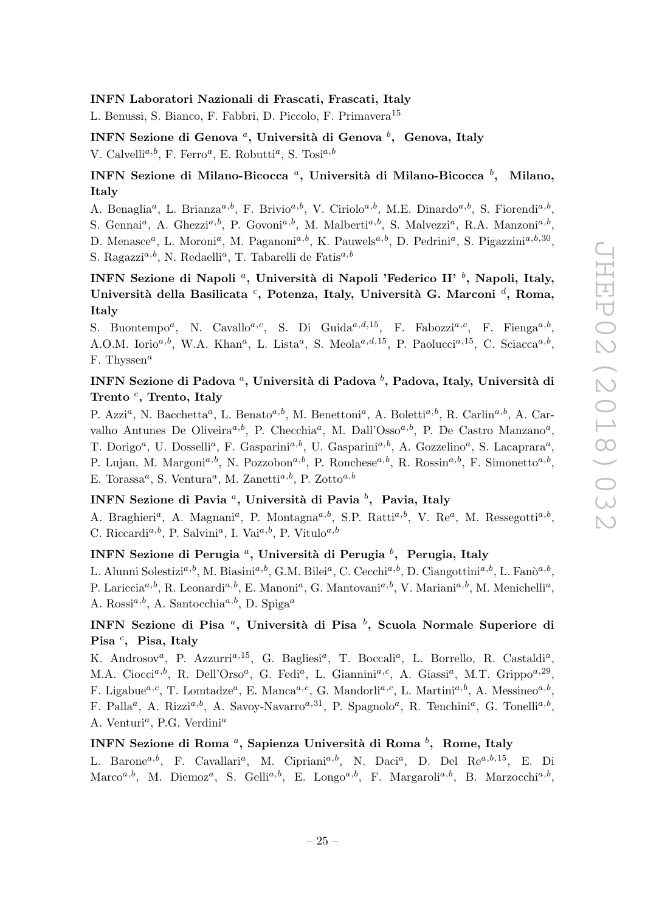#### INFN Laboratori Nazionali di Frascati, Frascati, Italy

L. Benussi, S. Bianco, F. Fabbri, D. Piccolo, F. Primavera<sup>15</sup>

INFN Sezione di Genova  $^a,$  Università di Genova  $^b, \,$  Genova, Italy V. Calvelli<sup>a, b</sup>, F. Ferro<sup>a</sup>, E. Robutti<sup>a</sup>, S. Tosi<sup>a, b</sup>

# INFN Sezione di Milano-Bicocca <sup>a</sup>, Università di Milano-Bicocca <sup>b</sup>, Milano, Italy

A. Benaglia<sup>a</sup>, L. Brianza<sup>a,b</sup>, F. Brivio<sup>a,b</sup>, V. Ciriolo<sup>a,b</sup>, M.E. Dinardo<sup>a,b</sup>, S. Fiorendi<sup>a,b</sup>,

S. Gennai<sup>a</sup>, A. Ghezzi<sup>a,b</sup>, P. Govoni<sup>a,b</sup>, M. Malberti<sup>a,b</sup>, S. Malvezzi<sup>a</sup>, R.A. Manzoni<sup>a,b</sup>,

D. Menasce<sup>a</sup>, L. Moroni<sup>a</sup>, M. Paganoni<sup>a,b</sup>, K. Pauwels<sup>a,b</sup>, D. Pedrini<sup>a</sup>, S. Pigazzini<sup>a,b,30</sup>, S. Ragazzi<sup>a,b</sup>, N. Redaelli<sup>a</sup>, T. Tabarelli de Fatis<sup>a,b</sup>

# INFN Sezione di Napoli <sup>a</sup>, Università di Napoli 'Federico II'  $^b$ , Napoli, Italy, Università della Basilicata  $^c$ , Potenza, Italy, Università G. Marconi  $^d$ , Roma, Italy

S. Buontempo<sup>a</sup>, N. Cavallo<sup>a,c</sup>, S. Di Guida<sup>a,d,15</sup>, F. Fabozzi<sup>a,c</sup>, F. Fienga<sup>a,b</sup>, A.O.M. Iorio<sup>a,b</sup>, W.A. Khan<sup>a</sup>, L. Lista<sup>a</sup>, S. Meola<sup>a,d,15</sup>, P. Paolucci<sup>a,15</sup>, C. Sciacca<sup>a,b</sup>, F. Thyssen<sup> $a$ </sup>

# INFN Sezione di Padova <sup>a</sup>, Università di Padova  $^b$ , Padova, Italy, Università di Trento <sup>c</sup>, Trento, Italy

P. Azzi<sup>a</sup>, N. Bacchetta<sup>a</sup>, L. Benato<sup>a,b</sup>, M. Benettoni<sup>a</sup>, A. Boletti<sup>a,b</sup>, R. Carlin<sup>a,b</sup>, A. Carvalho Antunes De Oliveira<sup>a,b</sup>, P. Checchia<sup>a</sup>, M. Dall'Osso<sup>a,b</sup>, P. De Castro Manzano<sup>a</sup>, T. Dorigo<sup>a</sup>, U. Dosselli<sup>a</sup>, F. Gasparini<sup>a,b</sup>, U. Gasparini<sup>a,b</sup>, A. Gozzelino<sup>a</sup>, S. Lacaprara<sup>a</sup>, P. Lujan, M. Margoni<sup>a,b</sup>, N. Pozzobon<sup>a,b</sup>, P. Ronchese<sup>a,b</sup>, R. Rossin<sup>a,b</sup>, F. Simonetto<sup>a,b</sup>, E. Torassa<sup>a</sup>, S. Ventura<sup>a</sup>, M. Zanetti<sup>a,b</sup>, P. Zotto<sup>a,b</sup>

# INFN Sezione di Pavia <sup>a</sup>, Università di Pavia  $^b$ , Pavia, Italy

A. Braghieri<sup>a</sup>, A. Magnani<sup>a</sup>, P. Montagna<sup>a,b</sup>, S.P. Ratti<sup>a,b</sup>, V. Re<sup>a</sup>, M. Ressegotti<sup>a,b</sup>, C. Riccardi<sup>a,b</sup>, P. Salvini<sup>a</sup>, I. Vai<sup>a,b</sup>, P. Vitulo<sup>a,b</sup>

# INFN Sezione di Perugia <sup>a</sup>, Università di Perugia  $^b$ , Perugia, Italy

L. Alunni Solestizi<sup>a,b</sup>, M. Biasini<sup>a,b</sup>, G.M. Bilei<sup>a</sup>, C. Cecchi<sup>a,b</sup>, D. Ciangottini<sup>a,b</sup>, L. Fanò<sup>a,b</sup>, P. Lariccia<sup>a,b</sup>, R. Leonardi<sup>a,b</sup>, E. Manoni<sup>a</sup>, G. Mantovani<sup>a,b</sup>, V. Mariani<sup>a,b</sup>, M. Menichelli<sup>a</sup>, A. Rossi<sup> $a,b$ </sup>, A. Santocchia<sup> $a,b$ </sup>, D. Spiga<sup>a</sup>

# INFN Sezione di Pisa <sup>a</sup>, Università di Pisa <sup>b</sup>, Scuola Normale Superiore di Pisa<sup>c</sup>, Pisa, Italy

K. Androsov<sup>a</sup>, P. Azzurri<sup>a, 15</sup>, G. Bagliesi<sup>a</sup>, T. Boccali<sup>a</sup>, L. Borrello, R. Castaldi<sup>a</sup>, M.A. Ciocci<sup>a,b</sup>, R. Dell'Orso<sup>a</sup>, G. Fedi<sup>a</sup>, L. Giannini<sup>a,c</sup>, A. Giassi<sup>a</sup>, M.T. Grippo<sup>a,29</sup>, F. Ligabue<sup>a,c</sup>, T. Lomtadze<sup>a</sup>, E. Manca<sup>a,c</sup>, G. Mandorli<sup>a,c</sup>, L. Martini<sup>a,b</sup>, A. Messineo<sup>a,b</sup>, F. Palla<sup>a</sup>, A. Rizzi<sup>a,b</sup>, A. Savoy-Navarro<sup>a,31</sup>, P. Spagnolo<sup>a</sup>, R. Tenchini<sup>a</sup>, G. Tonelli<sup>a,b</sup>, A. Venturi<sup>a</sup>, P.G. Verdini<sup>a</sup>

# INFN Sezione di Roma <sup>a</sup>, Sapienza Università di Roma  $^b$ , Rome, Italy

L. Barone<sup>a,b</sup>, F. Cavallari<sup>a</sup>, M. Cipriani<sup>a,b</sup>, N. Daci<sup>a</sup>, D. Del Re<sup>a,b,15</sup>, E. Di Marco<sup>a,b</sup>, M. Diemoz<sup>a</sup>, S. Gelli<sup>a,b</sup>, E. Longo<sup>a,b</sup>, F. Margaroli<sup>a,b</sup>, B. Marzocchi<sup>a,b</sup>,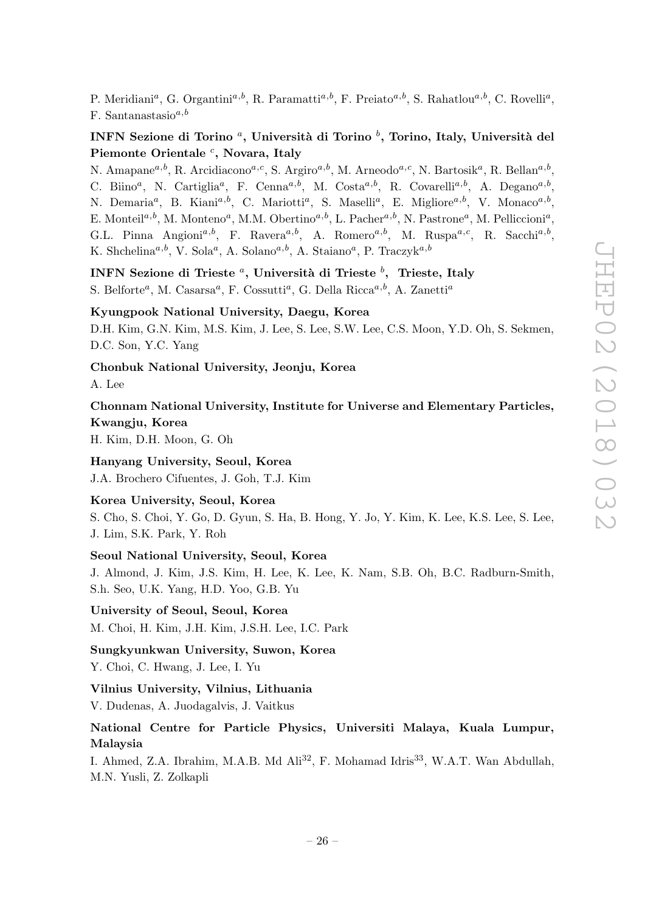P. Meridiani<sup>a</sup>, G. Organtini<sup>a,b</sup>, R. Paramatti<sup>a,b</sup>, F. Preiato<sup>a,b</sup>, S. Rahatlou<sup>a,b</sup>, C. Rovelli<sup>a</sup>, F. Santanastasio $a,b$ 

# INFN Sezione di Torino <sup>a</sup>, Università di Torino  $^b,$  Torino, Italy, Università del Piemonte Orientale  $^c$ , Novara, Italy

N. Amapane $^{a,b}$ , R. Arcidiacono $^{a,c}$ , S. Argiro $^{a,b}$ , M. Arneodo $^{a,c}$ , N. Bartosik $^a$ , R. Bellan $^{a,b}$ , C. Biino<sup>a</sup>, N. Cartiglia<sup>a</sup>, F. Cenna<sup>a,b</sup>, M. Costa<sup>a,b</sup>, R. Covarelli<sup>a,b</sup>, A. Degano<sup>a,b</sup>, N. Demaria<sup>a</sup>, B. Kiani<sup>a,b</sup>, C. Mariotti<sup>a</sup>, S. Maselli<sup>a</sup>, E. Migliore<sup>a,b</sup>, V. Monaco<sup>a,b</sup>, E. Monteil<sup>a,b</sup>, M. Monteno<sup>a</sup>, M.M. Obertino<sup>a,b</sup>, L. Pacher<sup>a,b</sup>, N. Pastrone<sup>a</sup>, M. Pelliccioni<sup>a</sup>, G.L. Pinna Angioni<sup>a,b</sup>, F. Ravera<sup>a,b</sup>, A. Romero<sup>a,b</sup>, M. Ruspa<sup>a,c</sup>, R. Sacchi<sup>a,b</sup>, K. Shchelina<sup>a,b</sup>, V. Sola<sup>a</sup>, A. Solano<sup>a,b</sup>, A. Staiano<sup>a</sup>, P. Traczyk<sup>a,b</sup>

# INFN Sezione di Trieste <sup>a</sup>, Università di Trieste  $^b$ , Trieste, Italy

S. Belforte<sup>a</sup>, M. Casarsa<sup>a</sup>, F. Cossutti<sup>a</sup>, G. Della Ricca<sup>a,b</sup>, A. Zanetti<sup>a</sup>

### Kyungpook National University, Daegu, Korea

D.H. Kim, G.N. Kim, M.S. Kim, J. Lee, S. Lee, S.W. Lee, C.S. Moon, Y.D. Oh, S. Sekmen, D.C. Son, Y.C. Yang

Chonbuk National University, Jeonju, Korea

A. Lee

# Chonnam National University, Institute for Universe and Elementary Particles, Kwangju, Korea

H. Kim, D.H. Moon, G. Oh

# Hanyang University, Seoul, Korea

J.A. Brochero Cifuentes, J. Goh, T.J. Kim

### Korea University, Seoul, Korea

S. Cho, S. Choi, Y. Go, D. Gyun, S. Ha, B. Hong, Y. Jo, Y. Kim, K. Lee, K.S. Lee, S. Lee, J. Lim, S.K. Park, Y. Roh

#### Seoul National University, Seoul, Korea

J. Almond, J. Kim, J.S. Kim, H. Lee, K. Lee, K. Nam, S.B. Oh, B.C. Radburn-Smith, S.h. Seo, U.K. Yang, H.D. Yoo, G.B. Yu

# University of Seoul, Seoul, Korea

M. Choi, H. Kim, J.H. Kim, J.S.H. Lee, I.C. Park

### Sungkyunkwan University, Suwon, Korea

Y. Choi, C. Hwang, J. Lee, I. Yu

#### Vilnius University, Vilnius, Lithuania

V. Dudenas, A. Juodagalvis, J. Vaitkus

# National Centre for Particle Physics, Universiti Malaya, Kuala Lumpur, Malaysia

I. Ahmed, Z.A. Ibrahim, M.A.B. Md Ali<sup>32</sup>, F. Mohamad Idris<sup>33</sup>, W.A.T. Wan Abdullah, M.N. Yusli, Z. Zolkapli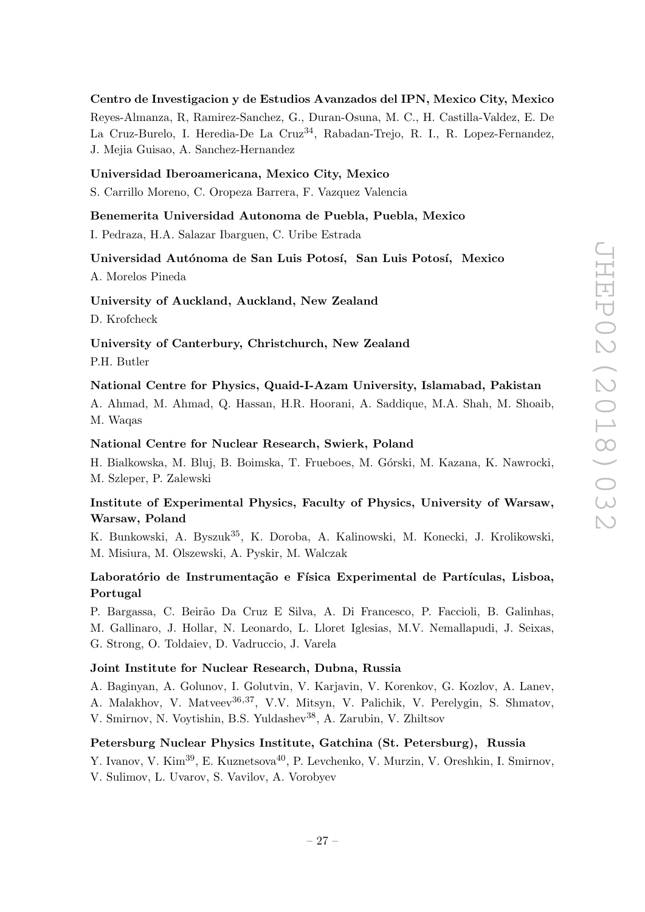### Centro de Investigacion y de Estudios Avanzados del IPN, Mexico City, Mexico

Reyes-Almanza, R, Ramirez-Sanchez, G., Duran-Osuna, M. C., H. Castilla-Valdez, E. De La Cruz-Burelo, I. Heredia-De La Cruz<sup>34</sup>, Rabadan-Trejo, R. I., R. Lopez-Fernandez, J. Mejia Guisao, A. Sanchez-Hernandez

### Universidad Iberoamericana, Mexico City, Mexico

S. Carrillo Moreno, C. Oropeza Barrera, F. Vazquez Valencia

#### Benemerita Universidad Autonoma de Puebla, Puebla, Mexico

I. Pedraza, H.A. Salazar Ibarguen, C. Uribe Estrada

# Universidad Autónoma de San Luis Potosí, San Luis Potosí, Mexico

A. Morelos Pineda

### University of Auckland, Auckland, New Zealand

D. Krofcheck

### University of Canterbury, Christchurch, New Zealand

P.H. Butler

### National Centre for Physics, Quaid-I-Azam University, Islamabad, Pakistan

A. Ahmad, M. Ahmad, Q. Hassan, H.R. Hoorani, A. Saddique, M.A. Shah, M. Shoaib, M. Waqas

# National Centre for Nuclear Research, Swierk, Poland

H. Bialkowska, M. Bluj, B. Boimska, T. Frueboes, M. Górski, M. Kazana, K. Nawrocki, M. Szleper, P. Zalewski

# Institute of Experimental Physics, Faculty of Physics, University of Warsaw, Warsaw, Poland

K. Bunkowski, A. Byszuk<sup>35</sup>, K. Doroba, A. Kalinowski, M. Konecki, J. Krolikowski, M. Misiura, M. Olszewski, A. Pyskir, M. Walczak

# Laboratório de Instrumentação e Física Experimental de Partículas, Lisboa, Portugal

P. Bargassa, C. Beirão Da Cruz E Silva, A. Di Francesco, P. Faccioli, B. Galinhas, M. Gallinaro, J. Hollar, N. Leonardo, L. Lloret Iglesias, M.V. Nemallapudi, J. Seixas, G. Strong, O. Toldaiev, D. Vadruccio, J. Varela

### Joint Institute for Nuclear Research, Dubna, Russia

A. Baginyan, A. Golunov, I. Golutvin, V. Karjavin, V. Korenkov, G. Kozlov, A. Lanev, A. Malakhov, V. Matveev<sup>36,37</sup>, V.V. Mitsyn, V. Palichik, V. Perelygin, S. Shmatov, V. Smirnov, N. Voytishin, B.S. Yuldashev<sup>38</sup>, A. Zarubin, V. Zhiltsov

# Petersburg Nuclear Physics Institute, Gatchina (St. Petersburg), Russia

Y. Ivanov, V. Kim<sup>39</sup>, E. Kuznetsova<sup>40</sup>, P. Levchenko, V. Murzin, V. Oreshkin, I. Smirnov,

V. Sulimov, L. Uvarov, S. Vavilov, A. Vorobyev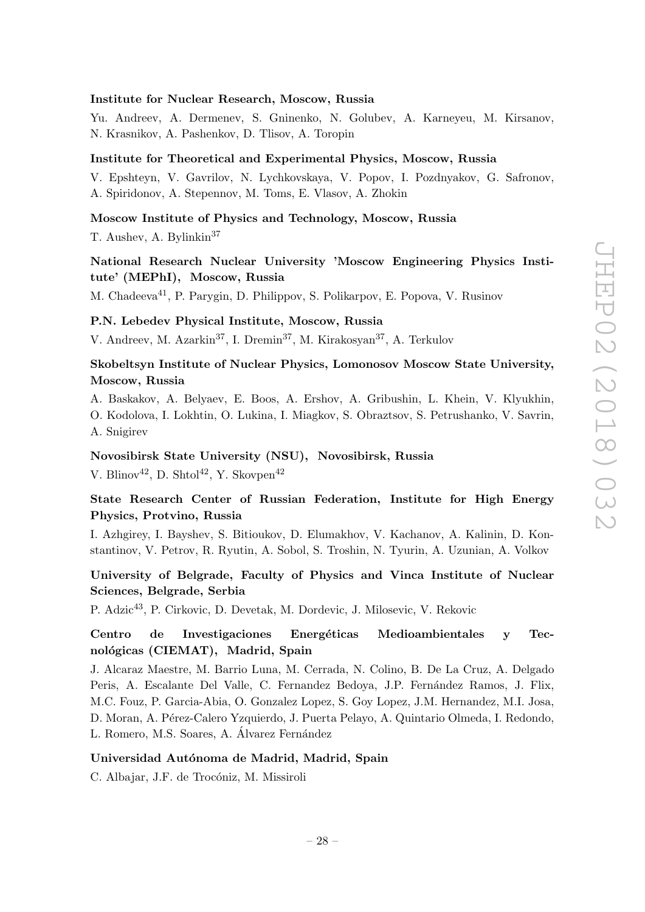### Institute for Nuclear Research, Moscow, Russia

Yu. Andreev, A. Dermenev, S. Gninenko, N. Golubev, A. Karneyeu, M. Kirsanov, N. Krasnikov, A. Pashenkov, D. Tlisov, A. Toropin

### Institute for Theoretical and Experimental Physics, Moscow, Russia

V. Epshteyn, V. Gavrilov, N. Lychkovskaya, V. Popov, I. Pozdnyakov, G. Safronov, A. Spiridonov, A. Stepennov, M. Toms, E. Vlasov, A. Zhokin

### Moscow Institute of Physics and Technology, Moscow, Russia

T. Aushev, A. Bylinkin<sup>37</sup>

# National Research Nuclear University 'Moscow Engineering Physics Institute' (MEPhI), Moscow, Russia

M. Chadeeva41, P. Parygin, D. Philippov, S. Polikarpov, E. Popova, V. Rusinov

# P.N. Lebedev Physical Institute, Moscow, Russia

V. Andreev, M. Azarkin<sup>37</sup>, I. Dremin<sup>37</sup>, M. Kirakosyan<sup>37</sup>, A. Terkulov

# Skobeltsyn Institute of Nuclear Physics, Lomonosov Moscow State University, Moscow, Russia

A. Baskakov, A. Belyaev, E. Boos, A. Ershov, A. Gribushin, L. Khein, V. Klyukhin, O. Kodolova, I. Lokhtin, O. Lukina, I. Miagkov, S. Obraztsov, S. Petrushanko, V. Savrin, A. Snigirev

# Novosibirsk State University (NSU), Novosibirsk, Russia

V. Blinov<sup>42</sup>, D. Shtol<sup>42</sup>, Y. Skovpen<sup>42</sup>

# State Research Center of Russian Federation, Institute for High Energy Physics, Protvino, Russia

I. Azhgirey, I. Bayshev, S. Bitioukov, D. Elumakhov, V. Kachanov, A. Kalinin, D. Konstantinov, V. Petrov, R. Ryutin, A. Sobol, S. Troshin, N. Tyurin, A. Uzunian, A. Volkov

# University of Belgrade, Faculty of Physics and Vinca Institute of Nuclear Sciences, Belgrade, Serbia

P. Adzic<sup>43</sup>, P. Cirkovic, D. Devetak, M. Dordevic, J. Milosevic, V. Rekovic

# Centro de Investigaciones Energéticas Medioambientales y Tecnológicas (CIEMAT), Madrid, Spain

J. Alcaraz Maestre, M. Barrio Luna, M. Cerrada, N. Colino, B. De La Cruz, A. Delgado Peris, A. Escalante Del Valle, C. Fernandez Bedoya, J.P. Fernández Ramos, J. Flix, M.C. Fouz, P. Garcia-Abia, O. Gonzalez Lopez, S. Goy Lopez, J.M. Hernandez, M.I. Josa, D. Moran, A. Pérez-Calero Yzquierdo, J. Puerta Pelayo, A. Quintario Olmeda, I. Redondo, L. Romero, M.S. Soares, A. Álvarez Fernández

#### Universidad Autónoma de Madrid, Madrid, Spain

C. Albajar, J.F. de Trocóniz, M. Missiroli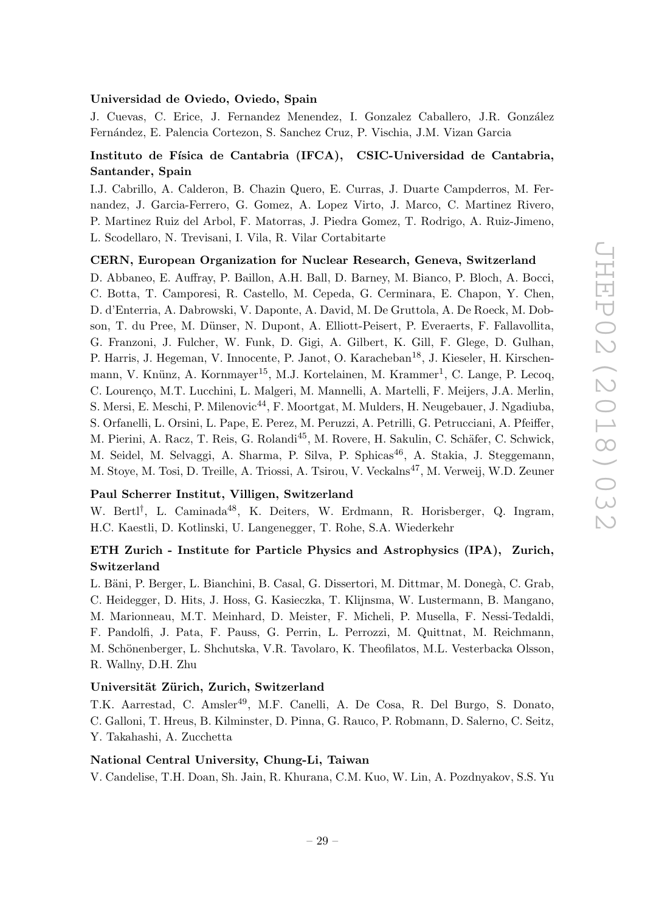### Universidad de Oviedo, Oviedo, Spain

J. Cuevas, C. Erice, J. Fernandez Menendez, I. Gonzalez Caballero, J.R. González Fern´andez, E. Palencia Cortezon, S. Sanchez Cruz, P. Vischia, J.M. Vizan Garcia

# Instituto de Física de Cantabria (IFCA), CSIC-Universidad de Cantabria, Santander, Spain

I.J. Cabrillo, A. Calderon, B. Chazin Quero, E. Curras, J. Duarte Campderros, M. Fernandez, J. Garcia-Ferrero, G. Gomez, A. Lopez Virto, J. Marco, C. Martinez Rivero, P. Martinez Ruiz del Arbol, F. Matorras, J. Piedra Gomez, T. Rodrigo, A. Ruiz-Jimeno, L. Scodellaro, N. Trevisani, I. Vila, R. Vilar Cortabitarte

#### CERN, European Organization for Nuclear Research, Geneva, Switzerland

D. Abbaneo, E. Auffray, P. Baillon, A.H. Ball, D. Barney, M. Bianco, P. Bloch, A. Bocci, C. Botta, T. Camporesi, R. Castello, M. Cepeda, G. Cerminara, E. Chapon, Y. Chen, D. d'Enterria, A. Dabrowski, V. Daponte, A. David, M. De Gruttola, A. De Roeck, M. Dobson, T. du Pree, M. Dünser, N. Dupont, A. Elliott-Peisert, P. Everaerts, F. Fallavollita, G. Franzoni, J. Fulcher, W. Funk, D. Gigi, A. Gilbert, K. Gill, F. Glege, D. Gulhan, P. Harris, J. Hegeman, V. Innocente, P. Janot, O. Karacheban<sup>18</sup>, J. Kieseler, H. Kirschenmann, V. Knünz, A. Kornmayer<sup>15</sup>, M.J. Kortelainen, M. Krammer<sup>1</sup>, C. Lange, P. Lecoq, C. Lourenço, M.T. Lucchini, L. Malgeri, M. Mannelli, A. Martelli, F. Meijers, J.A. Merlin, S. Mersi, E. Meschi, P. Milenovic<sup>44</sup>, F. Moortgat, M. Mulders, H. Neugebauer, J. Ngadiuba, S. Orfanelli, L. Orsini, L. Pape, E. Perez, M. Peruzzi, A. Petrilli, G. Petrucciani, A. Pfeiffer, M. Pierini, A. Racz, T. Reis, G. Rolandi<sup>45</sup>, M. Rovere, H. Sakulin, C. Schäfer, C. Schwick, M. Seidel, M. Selvaggi, A. Sharma, P. Silva, P. Sphicas<sup>46</sup>, A. Stakia, J. Steggemann, M. Stoye, M. Tosi, D. Treille, A. Triossi, A. Tsirou, V. Veckalns<sup>47</sup>, M. Verweij, W.D. Zeuner

### Paul Scherrer Institut, Villigen, Switzerland

W. Bertl<sup>†</sup>, L. Caminada<sup>48</sup>, K. Deiters, W. Erdmann, R. Horisberger, Q. Ingram, H.C. Kaestli, D. Kotlinski, U. Langenegger, T. Rohe, S.A. Wiederkehr

# ETH Zurich - Institute for Particle Physics and Astrophysics (IPA), Zurich, Switzerland

L. Bäni, P. Berger, L. Bianchini, B. Casal, G. Dissertori, M. Dittmar, M. Donegà, C. Grab, C. Heidegger, D. Hits, J. Hoss, G. Kasieczka, T. Klijnsma, W. Lustermann, B. Mangano, M. Marionneau, M.T. Meinhard, D. Meister, F. Micheli, P. Musella, F. Nessi-Tedaldi, F. Pandolfi, J. Pata, F. Pauss, G. Perrin, L. Perrozzi, M. Quittnat, M. Reichmann, M. Schönenberger, L. Shchutska, V.R. Tavolaro, K. Theofilatos, M.L. Vesterbacka Olsson, R. Wallny, D.H. Zhu

### Universität Zürich, Zurich, Switzerland

T.K. Aarrestad, C. Amsler<sup>49</sup>, M.F. Canelli, A. De Cosa, R. Del Burgo, S. Donato, C. Galloni, T. Hreus, B. Kilminster, D. Pinna, G. Rauco, P. Robmann, D. Salerno, C. Seitz, Y. Takahashi, A. Zucchetta

#### National Central University, Chung-Li, Taiwan

V. Candelise, T.H. Doan, Sh. Jain, R. Khurana, C.M. Kuo, W. Lin, A. Pozdnyakov, S.S. Yu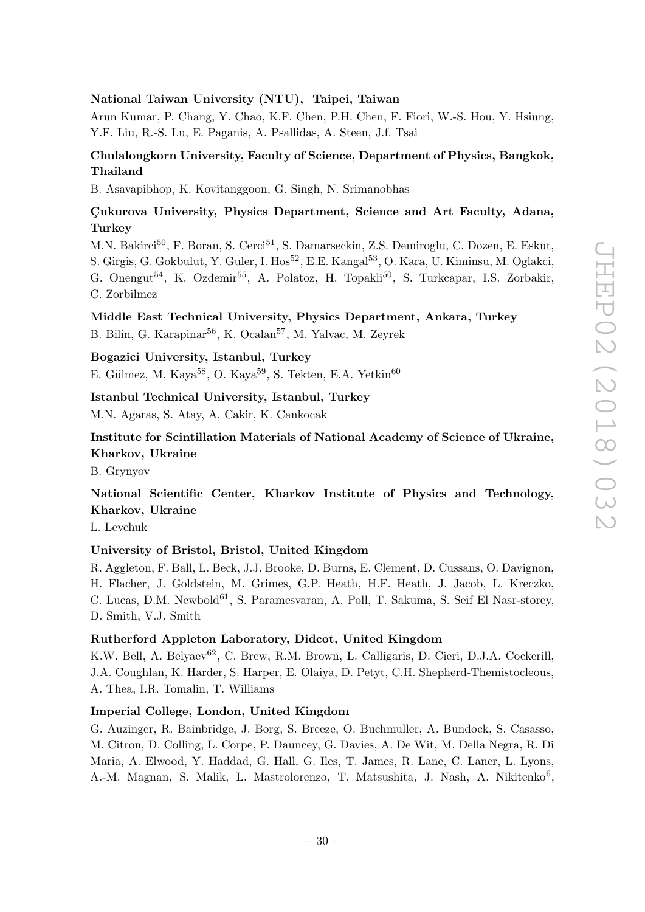### National Taiwan University (NTU), Taipei, Taiwan

Arun Kumar, P. Chang, Y. Chao, K.F. Chen, P.H. Chen, F. Fiori, W.-S. Hou, Y. Hsiung, Y.F. Liu, R.-S. Lu, E. Paganis, A. Psallidas, A. Steen, J.f. Tsai

# Chulalongkorn University, Faculty of Science, Department of Physics, Bangkok, Thailand

B. Asavapibhop, K. Kovitanggoon, G. Singh, N. Srimanobhas

# Cukurova University, Physics Department, Science and Art Faculty, Adana, Turkey

M.N. Bakirci<sup>50</sup>, F. Boran, S. Cerci<sup>51</sup>, S. Damarseckin, Z.S. Demiroglu, C. Dozen, E. Eskut, S. Girgis, G. Gokbulut, Y. Guler, I. Hos<sup>52</sup>, E.E. Kangal<sup>53</sup>, O. Kara, U. Kiminsu, M. Oglakci, G. Onengut<sup>54</sup>, K. Ozdemir<sup>55</sup>, A. Polatoz, H. Topakli<sup>50</sup>, S. Turkcapar, I.S. Zorbakir, C. Zorbilmez

# Middle East Technical University, Physics Department, Ankara, Turkey

B. Bilin, G. Karapinar<sup>56</sup>, K. Ocalan<sup>57</sup>, M. Yalvac, M. Zeyrek

Bogazici University, Istanbul, Turkey

E. Gülmez, M. Kaya<sup>58</sup>, O. Kaya<sup>59</sup>, S. Tekten, E.A. Yetkin<sup>60</sup>

# Istanbul Technical University, Istanbul, Turkey M.N. Agaras, S. Atay, A. Cakir, K. Cankocak

Institute for Scintillation Materials of National Academy of Science of Ukraine, Kharkov, Ukraine

B. Grynyov

National Scientific Center, Kharkov Institute of Physics and Technology, Kharkov, Ukraine

L. Levchuk

# University of Bristol, Bristol, United Kingdom

R. Aggleton, F. Ball, L. Beck, J.J. Brooke, D. Burns, E. Clement, D. Cussans, O. Davignon, H. Flacher, J. Goldstein, M. Grimes, G.P. Heath, H.F. Heath, J. Jacob, L. Kreczko, C. Lucas, D.M. Newbold<sup>61</sup>, S. Paramesvaran, A. Poll, T. Sakuma, S. Seif El Nasr-storey, D. Smith, V.J. Smith

# Rutherford Appleton Laboratory, Didcot, United Kingdom

K.W. Bell, A. Belyaev<sup>62</sup>, C. Brew, R.M. Brown, L. Calligaris, D. Cieri, D.J.A. Cockerill, J.A. Coughlan, K. Harder, S. Harper, E. Olaiya, D. Petyt, C.H. Shepherd-Themistocleous, A. Thea, I.R. Tomalin, T. Williams

# Imperial College, London, United Kingdom

G. Auzinger, R. Bainbridge, J. Borg, S. Breeze, O. Buchmuller, A. Bundock, S. Casasso, M. Citron, D. Colling, L. Corpe, P. Dauncey, G. Davies, A. De Wit, M. Della Negra, R. Di Maria, A. Elwood, Y. Haddad, G. Hall, G. Iles, T. James, R. Lane, C. Laner, L. Lyons, A.-M. Magnan, S. Malik, L. Mastrolorenzo, T. Matsushita, J. Nash, A. Nikitenko<sup>6</sup>,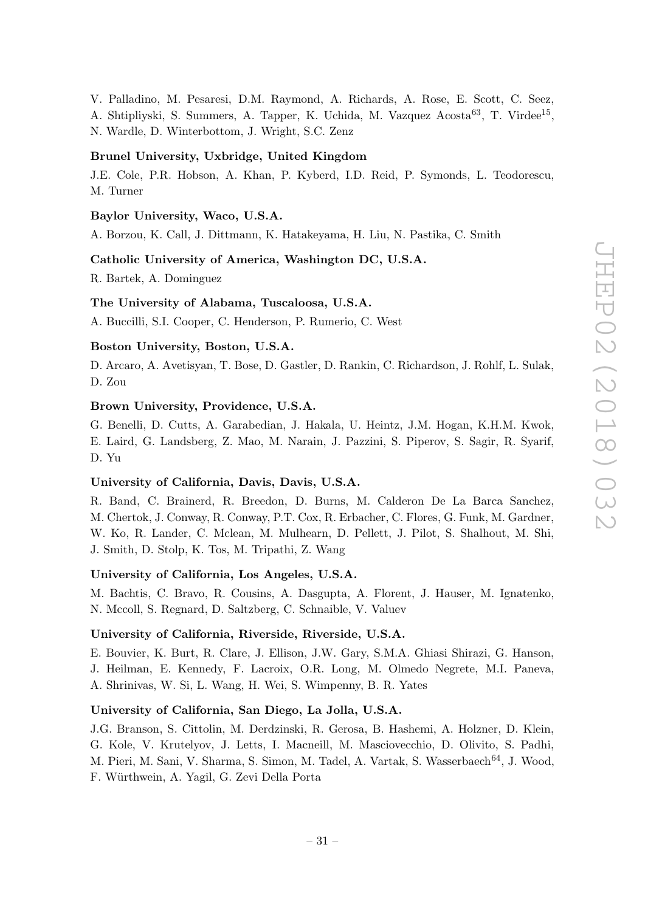V. Palladino, M. Pesaresi, D.M. Raymond, A. Richards, A. Rose, E. Scott, C. Seez, A. Shtipliyski, S. Summers, A. Tapper, K. Uchida, M. Vazquez Acosta<sup>63</sup>, T. Virdee<sup>15</sup>, N. Wardle, D. Winterbottom, J. Wright, S.C. Zenz

#### Brunel University, Uxbridge, United Kingdom

J.E. Cole, P.R. Hobson, A. Khan, P. Kyberd, I.D. Reid, P. Symonds, L. Teodorescu, M. Turner

#### Baylor University, Waco, U.S.A.

A. Borzou, K. Call, J. Dittmann, K. Hatakeyama, H. Liu, N. Pastika, C. Smith

### Catholic University of America, Washington DC, U.S.A.

R. Bartek, A. Dominguez

### The University of Alabama, Tuscaloosa, U.S.A.

A. Buccilli, S.I. Cooper, C. Henderson, P. Rumerio, C. West

#### Boston University, Boston, U.S.A.

D. Arcaro, A. Avetisyan, T. Bose, D. Gastler, D. Rankin, C. Richardson, J. Rohlf, L. Sulak, D. Zou

#### Brown University, Providence, U.S.A.

G. Benelli, D. Cutts, A. Garabedian, J. Hakala, U. Heintz, J.M. Hogan, K.H.M. Kwok, E. Laird, G. Landsberg, Z. Mao, M. Narain, J. Pazzini, S. Piperov, S. Sagir, R. Syarif, D. Yu

# University of California, Davis, Davis, U.S.A.

R. Band, C. Brainerd, R. Breedon, D. Burns, M. Calderon De La Barca Sanchez, M. Chertok, J. Conway, R. Conway, P.T. Cox, R. Erbacher, C. Flores, G. Funk, M. Gardner, W. Ko, R. Lander, C. Mclean, M. Mulhearn, D. Pellett, J. Pilot, S. Shalhout, M. Shi, J. Smith, D. Stolp, K. Tos, M. Tripathi, Z. Wang

# University of California, Los Angeles, U.S.A.

M. Bachtis, C. Bravo, R. Cousins, A. Dasgupta, A. Florent, J. Hauser, M. Ignatenko, N. Mccoll, S. Regnard, D. Saltzberg, C. Schnaible, V. Valuev

### University of California, Riverside, Riverside, U.S.A.

E. Bouvier, K. Burt, R. Clare, J. Ellison, J.W. Gary, S.M.A. Ghiasi Shirazi, G. Hanson, J. Heilman, E. Kennedy, F. Lacroix, O.R. Long, M. Olmedo Negrete, M.I. Paneva, A. Shrinivas, W. Si, L. Wang, H. Wei, S. Wimpenny, B. R. Yates

### University of California, San Diego, La Jolla, U.S.A.

J.G. Branson, S. Cittolin, M. Derdzinski, R. Gerosa, B. Hashemi, A. Holzner, D. Klein, G. Kole, V. Krutelyov, J. Letts, I. Macneill, M. Masciovecchio, D. Olivito, S. Padhi, M. Pieri, M. Sani, V. Sharma, S. Simon, M. Tadel, A. Vartak, S. Wasserbaech<sup>64</sup>, J. Wood, F. Würthwein, A. Yagil, G. Zevi Della Porta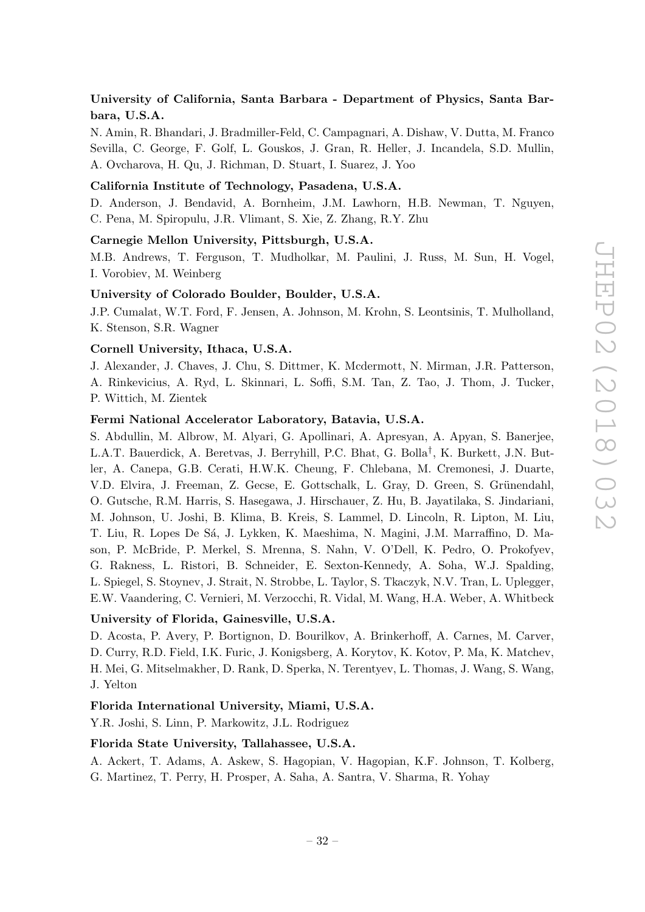# University of California, Santa Barbara - Department of Physics, Santa Barbara, U.S.A.

N. Amin, R. Bhandari, J. Bradmiller-Feld, C. Campagnari, A. Dishaw, V. Dutta, M. Franco Sevilla, C. George, F. Golf, L. Gouskos, J. Gran, R. Heller, J. Incandela, S.D. Mullin, A. Ovcharova, H. Qu, J. Richman, D. Stuart, I. Suarez, J. Yoo

### California Institute of Technology, Pasadena, U.S.A.

D. Anderson, J. Bendavid, A. Bornheim, J.M. Lawhorn, H.B. Newman, T. Nguyen, C. Pena, M. Spiropulu, J.R. Vlimant, S. Xie, Z. Zhang, R.Y. Zhu

### Carnegie Mellon University, Pittsburgh, U.S.A.

M.B. Andrews, T. Ferguson, T. Mudholkar, M. Paulini, J. Russ, M. Sun, H. Vogel, I. Vorobiev, M. Weinberg

### University of Colorado Boulder, Boulder, U.S.A.

J.P. Cumalat, W.T. Ford, F. Jensen, A. Johnson, M. Krohn, S. Leontsinis, T. Mulholland, K. Stenson, S.R. Wagner

# Cornell University, Ithaca, U.S.A.

J. Alexander, J. Chaves, J. Chu, S. Dittmer, K. Mcdermott, N. Mirman, J.R. Patterson, A. Rinkevicius, A. Ryd, L. Skinnari, L. Soffi, S.M. Tan, Z. Tao, J. Thom, J. Tucker, P. Wittich, M. Zientek

### Fermi National Accelerator Laboratory, Batavia, U.S.A.

S. Abdullin, M. Albrow, M. Alyari, G. Apollinari, A. Apresyan, A. Apyan, S. Banerjee, L.A.T. Bauerdick, A. Beretvas, J. Berryhill, P.C. Bhat, G. Bolla† , K. Burkett, J.N. Butler, A. Canepa, G.B. Cerati, H.W.K. Cheung, F. Chlebana, M. Cremonesi, J. Duarte, V.D. Elvira, J. Freeman, Z. Gecse, E. Gottschalk, L. Gray, D. Green, S. Grünendahl, O. Gutsche, R.M. Harris, S. Hasegawa, J. Hirschauer, Z. Hu, B. Jayatilaka, S. Jindariani, M. Johnson, U. Joshi, B. Klima, B. Kreis, S. Lammel, D. Lincoln, R. Lipton, M. Liu, T. Liu, R. Lopes De S´a, J. Lykken, K. Maeshima, N. Magini, J.M. Marraffino, D. Mason, P. McBride, P. Merkel, S. Mrenna, S. Nahn, V. O'Dell, K. Pedro, O. Prokofyev, G. Rakness, L. Ristori, B. Schneider, E. Sexton-Kennedy, A. Soha, W.J. Spalding, L. Spiegel, S. Stoynev, J. Strait, N. Strobbe, L. Taylor, S. Tkaczyk, N.V. Tran, L. Uplegger, E.W. Vaandering, C. Vernieri, M. Verzocchi, R. Vidal, M. Wang, H.A. Weber, A. Whitbeck

#### University of Florida, Gainesville, U.S.A.

D. Acosta, P. Avery, P. Bortignon, D. Bourilkov, A. Brinkerhoff, A. Carnes, M. Carver, D. Curry, R.D. Field, I.K. Furic, J. Konigsberg, A. Korytov, K. Kotov, P. Ma, K. Matchev, H. Mei, G. Mitselmakher, D. Rank, D. Sperka, N. Terentyev, L. Thomas, J. Wang, S. Wang, J. Yelton

### Florida International University, Miami, U.S.A.

Y.R. Joshi, S. Linn, P. Markowitz, J.L. Rodriguez

#### Florida State University, Tallahassee, U.S.A.

A. Ackert, T. Adams, A. Askew, S. Hagopian, V. Hagopian, K.F. Johnson, T. Kolberg, G. Martinez, T. Perry, H. Prosper, A. Saha, A. Santra, V. Sharma, R. Yohay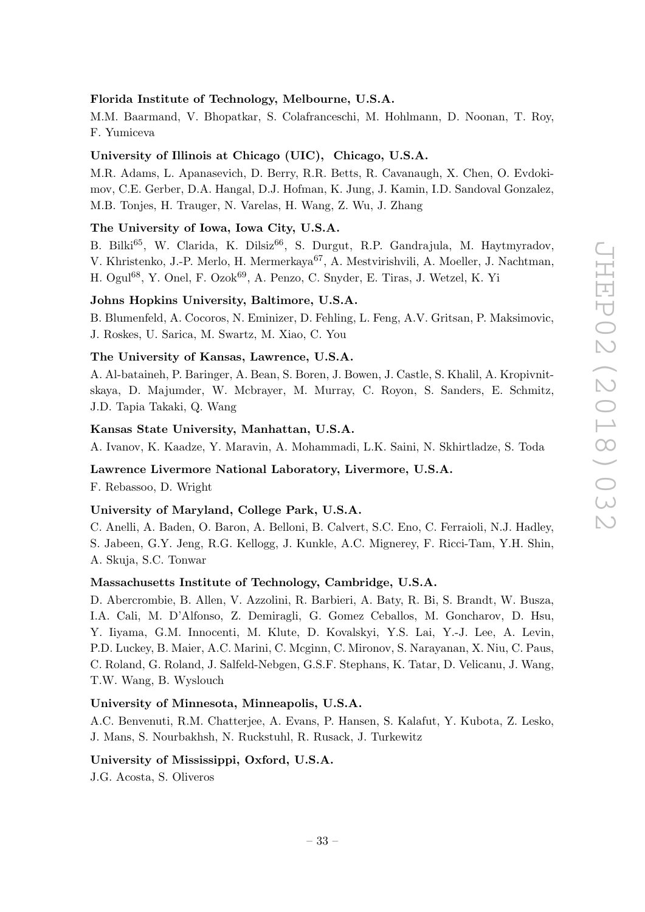### Florida Institute of Technology, Melbourne, U.S.A.

M.M. Baarmand, V. Bhopatkar, S. Colafranceschi, M. Hohlmann, D. Noonan, T. Roy, F. Yumiceva

# University of Illinois at Chicago (UIC), Chicago, U.S.A.

M.R. Adams, L. Apanasevich, D. Berry, R.R. Betts, R. Cavanaugh, X. Chen, O. Evdokimov, C.E. Gerber, D.A. Hangal, D.J. Hofman, K. Jung, J. Kamin, I.D. Sandoval Gonzalez, M.B. Tonjes, H. Trauger, N. Varelas, H. Wang, Z. Wu, J. Zhang

### The University of Iowa, Iowa City, U.S.A.

B. Bilki<sup>65</sup>, W. Clarida, K. Dilsiz<sup>66</sup>, S. Durgut, R.P. Gandrajula, M. Haytmyradov, V. Khristenko, J.-P. Merlo, H. Mermerkaya67, A. Mestvirishvili, A. Moeller, J. Nachtman, H. Ogul<sup>68</sup>, Y. Onel, F. Ozok<sup>69</sup>, A. Penzo, C. Snyder, E. Tiras, J. Wetzel, K. Yi

### Johns Hopkins University, Baltimore, U.S.A.

B. Blumenfeld, A. Cocoros, N. Eminizer, D. Fehling, L. Feng, A.V. Gritsan, P. Maksimovic, J. Roskes, U. Sarica, M. Swartz, M. Xiao, C. You

### The University of Kansas, Lawrence, U.S.A.

A. Al-bataineh, P. Baringer, A. Bean, S. Boren, J. Bowen, J. Castle, S. Khalil, A. Kropivnitskaya, D. Majumder, W. Mcbrayer, M. Murray, C. Royon, S. Sanders, E. Schmitz, J.D. Tapia Takaki, Q. Wang

#### Kansas State University, Manhattan, U.S.A.

A. Ivanov, K. Kaadze, Y. Maravin, A. Mohammadi, L.K. Saini, N. Skhirtladze, S. Toda

### Lawrence Livermore National Laboratory, Livermore, U.S.A.

F. Rebassoo, D. Wright

#### University of Maryland, College Park, U.S.A.

C. Anelli, A. Baden, O. Baron, A. Belloni, B. Calvert, S.C. Eno, C. Ferraioli, N.J. Hadley, S. Jabeen, G.Y. Jeng, R.G. Kellogg, J. Kunkle, A.C. Mignerey, F. Ricci-Tam, Y.H. Shin, A. Skuja, S.C. Tonwar

### Massachusetts Institute of Technology, Cambridge, U.S.A.

D. Abercrombie, B. Allen, V. Azzolini, R. Barbieri, A. Baty, R. Bi, S. Brandt, W. Busza, I.A. Cali, M. D'Alfonso, Z. Demiragli, G. Gomez Ceballos, M. Goncharov, D. Hsu, Y. Iiyama, G.M. Innocenti, M. Klute, D. Kovalskyi, Y.S. Lai, Y.-J. Lee, A. Levin, P.D. Luckey, B. Maier, A.C. Marini, C. Mcginn, C. Mironov, S. Narayanan, X. Niu, C. Paus, C. Roland, G. Roland, J. Salfeld-Nebgen, G.S.F. Stephans, K. Tatar, D. Velicanu, J. Wang, T.W. Wang, B. Wyslouch

### University of Minnesota, Minneapolis, U.S.A.

A.C. Benvenuti, R.M. Chatterjee, A. Evans, P. Hansen, S. Kalafut, Y. Kubota, Z. Lesko, J. Mans, S. Nourbakhsh, N. Ruckstuhl, R. Rusack, J. Turkewitz

### University of Mississippi, Oxford, U.S.A.

J.G. Acosta, S. Oliveros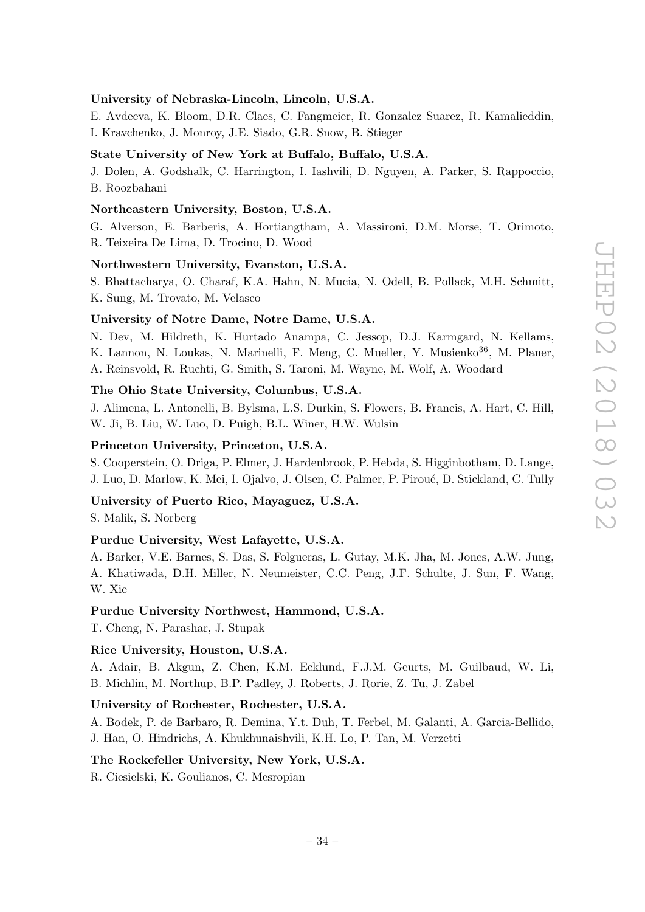### University of Nebraska-Lincoln, Lincoln, U.S.A.

E. Avdeeva, K. Bloom, D.R. Claes, C. Fangmeier, R. Gonzalez Suarez, R. Kamalieddin, I. Kravchenko, J. Monroy, J.E. Siado, G.R. Snow, B. Stieger

#### State University of New York at Buffalo, Buffalo, U.S.A.

J. Dolen, A. Godshalk, C. Harrington, I. Iashvili, D. Nguyen, A. Parker, S. Rappoccio, B. Roozbahani

# Northeastern University, Boston, U.S.A.

G. Alverson, E. Barberis, A. Hortiangtham, A. Massironi, D.M. Morse, T. Orimoto, R. Teixeira De Lima, D. Trocino, D. Wood

#### Northwestern University, Evanston, U.S.A.

S. Bhattacharya, O. Charaf, K.A. Hahn, N. Mucia, N. Odell, B. Pollack, M.H. Schmitt, K. Sung, M. Trovato, M. Velasco

### University of Notre Dame, Notre Dame, U.S.A.

N. Dev, M. Hildreth, K. Hurtado Anampa, C. Jessop, D.J. Karmgard, N. Kellams, K. Lannon, N. Loukas, N. Marinelli, F. Meng, C. Mueller, Y. Musienko<sup>36</sup>, M. Planer, A. Reinsvold, R. Ruchti, G. Smith, S. Taroni, M. Wayne, M. Wolf, A. Woodard

#### The Ohio State University, Columbus, U.S.A.

J. Alimena, L. Antonelli, B. Bylsma, L.S. Durkin, S. Flowers, B. Francis, A. Hart, C. Hill, W. Ji, B. Liu, W. Luo, D. Puigh, B.L. Winer, H.W. Wulsin

### Princeton University, Princeton, U.S.A.

S. Cooperstein, O. Driga, P. Elmer, J. Hardenbrook, P. Hebda, S. Higginbotham, D. Lange, J. Luo, D. Marlow, K. Mei, I. Ojalvo, J. Olsen, C. Palmer, P. Piroué, D. Stickland, C. Tully

#### University of Puerto Rico, Mayaguez, U.S.A.

S. Malik, S. Norberg

# Purdue University, West Lafayette, U.S.A.

A. Barker, V.E. Barnes, S. Das, S. Folgueras, L. Gutay, M.K. Jha, M. Jones, A.W. Jung, A. Khatiwada, D.H. Miller, N. Neumeister, C.C. Peng, J.F. Schulte, J. Sun, F. Wang, W. Xie

# Purdue University Northwest, Hammond, U.S.A.

T. Cheng, N. Parashar, J. Stupak

#### Rice University, Houston, U.S.A.

A. Adair, B. Akgun, Z. Chen, K.M. Ecklund, F.J.M. Geurts, M. Guilbaud, W. Li, B. Michlin, M. Northup, B.P. Padley, J. Roberts, J. Rorie, Z. Tu, J. Zabel

# University of Rochester, Rochester, U.S.A.

A. Bodek, P. de Barbaro, R. Demina, Y.t. Duh, T. Ferbel, M. Galanti, A. Garcia-Bellido, J. Han, O. Hindrichs, A. Khukhunaishvili, K.H. Lo, P. Tan, M. Verzetti

# The Rockefeller University, New York, U.S.A.

R. Ciesielski, K. Goulianos, C. Mesropian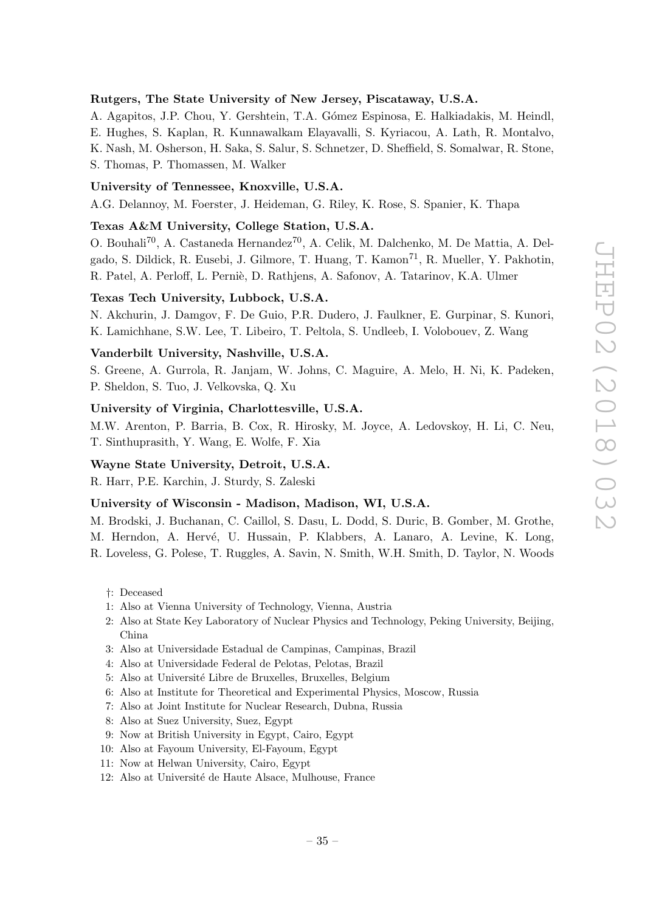### Rutgers, The State University of New Jersey, Piscataway, U.S.A.

A. Agapitos, J.P. Chou, Y. Gershtein, T.A. G´omez Espinosa, E. Halkiadakis, M. Heindl,

E. Hughes, S. Kaplan, R. Kunnawalkam Elayavalli, S. Kyriacou, A. Lath, R. Montalvo,

K. Nash, M. Osherson, H. Saka, S. Salur, S. Schnetzer, D. Sheffield, S. Somalwar, R. Stone,

S. Thomas, P. Thomassen, M. Walker

# University of Tennessee, Knoxville, U.S.A.

A.G. Delannoy, M. Foerster, J. Heideman, G. Riley, K. Rose, S. Spanier, K. Thapa

# Texas A&M University, College Station, U.S.A.

O. Bouhali<sup>70</sup>, A. Castaneda Hernandez<sup>70</sup>, A. Celik, M. Dalchenko, M. De Mattia, A. Delgado, S. Dildick, R. Eusebi, J. Gilmore, T. Huang, T. Kamon<sup>71</sup>, R. Mueller, Y. Pakhotin, R. Patel, A. Perloff, L. Perniè, D. Rathjens, A. Safonov, A. Tatarinov, K.A. Ulmer

### Texas Tech University, Lubbock, U.S.A.

N. Akchurin, J. Damgov, F. De Guio, P.R. Dudero, J. Faulkner, E. Gurpinar, S. Kunori, K. Lamichhane, S.W. Lee, T. Libeiro, T. Peltola, S. Undleeb, I. Volobouev, Z. Wang

### Vanderbilt University, Nashville, U.S.A.

S. Greene, A. Gurrola, R. Janjam, W. Johns, C. Maguire, A. Melo, H. Ni, K. Padeken, P. Sheldon, S. Tuo, J. Velkovska, Q. Xu

### University of Virginia, Charlottesville, U.S.A.

M.W. Arenton, P. Barria, B. Cox, R. Hirosky, M. Joyce, A. Ledovskoy, H. Li, C. Neu, T. Sinthuprasith, Y. Wang, E. Wolfe, F. Xia

### Wayne State University, Detroit, U.S.A.

R. Harr, P.E. Karchin, J. Sturdy, S. Zaleski

### University of Wisconsin - Madison, Madison, WI, U.S.A.

M. Brodski, J. Buchanan, C. Caillol, S. Dasu, L. Dodd, S. Duric, B. Gomber, M. Grothe, M. Herndon, A. Hervé, U. Hussain, P. Klabbers, A. Lanaro, A. Levine, K. Long, R. Loveless, G. Polese, T. Ruggles, A. Savin, N. Smith, W.H. Smith, D. Taylor, N. Woods

- †: Deceased
- 1: Also at Vienna University of Technology, Vienna, Austria
- 2: Also at State Key Laboratory of Nuclear Physics and Technology, Peking University, Beijing, China
- 3: Also at Universidade Estadual de Campinas, Campinas, Brazil
- 4: Also at Universidade Federal de Pelotas, Pelotas, Brazil
- 5: Also at Université Libre de Bruxelles, Bruxelles, Belgium
- 6: Also at Institute for Theoretical and Experimental Physics, Moscow, Russia
- 7: Also at Joint Institute for Nuclear Research, Dubna, Russia
- 8: Also at Suez University, Suez, Egypt
- 9: Now at British University in Egypt, Cairo, Egypt
- 10: Also at Fayoum University, El-Fayoum, Egypt
- 11: Now at Helwan University, Cairo, Egypt
- 12: Also at Université de Haute Alsace, Mulhouse, France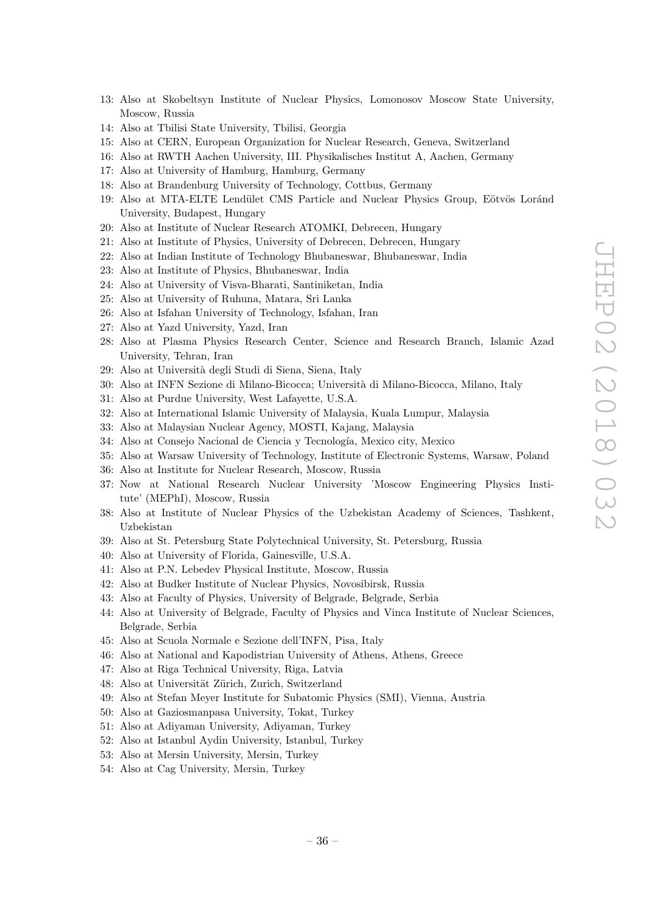- 13: Also at Skobeltsyn Institute of Nuclear Physics, Lomonosov Moscow State University, Moscow, Russia
- 14: Also at Tbilisi State University, Tbilisi, Georgia
- 15: Also at CERN, European Organization for Nuclear Research, Geneva, Switzerland
- 16: Also at RWTH Aachen University, III. Physikalisches Institut A, Aachen, Germany
- 17: Also at University of Hamburg, Hamburg, Germany
- 18: Also at Brandenburg University of Technology, Cottbus, Germany
- 19: Also at MTA-ELTE Lendület CMS Particle and Nuclear Physics Group, Eötvös Loránd University, Budapest, Hungary
- 20: Also at Institute of Nuclear Research ATOMKI, Debrecen, Hungary
- 21: Also at Institute of Physics, University of Debrecen, Debrecen, Hungary
- 22: Also at Indian Institute of Technology Bhubaneswar, Bhubaneswar, India
- 23: Also at Institute of Physics, Bhubaneswar, India
- 24: Also at University of Visva-Bharati, Santiniketan, India
- 25: Also at University of Ruhuna, Matara, Sri Lanka
- 26: Also at Isfahan University of Technology, Isfahan, Iran
- 27: Also at Yazd University, Yazd, Iran
- 28: Also at Plasma Physics Research Center, Science and Research Branch, Islamic Azad University, Tehran, Iran
- 29: Also at Universit`a degli Studi di Siena, Siena, Italy
- 30: Also at INFN Sezione di Milano-Bicocca; Università di Milano-Bicocca, Milano, Italy
- 31: Also at Purdue University, West Lafayette, U.S.A.
- 32: Also at International Islamic University of Malaysia, Kuala Lumpur, Malaysia
- 33: Also at Malaysian Nuclear Agency, MOSTI, Kajang, Malaysia
- 34: Also at Consejo Nacional de Ciencia y Tecnología, Mexico city, Mexico
- 35: Also at Warsaw University of Technology, Institute of Electronic Systems, Warsaw, Poland
- 36: Also at Institute for Nuclear Research, Moscow, Russia
- 37: Now at National Research Nuclear University 'Moscow Engineering Physics Institute' (MEPhI), Moscow, Russia
- 38: Also at Institute of Nuclear Physics of the Uzbekistan Academy of Sciences, Tashkent, Uzbekistan
- 39: Also at St. Petersburg State Polytechnical University, St. Petersburg, Russia
- 40: Also at University of Florida, Gainesville, U.S.A.
- 41: Also at P.N. Lebedev Physical Institute, Moscow, Russia
- 42: Also at Budker Institute of Nuclear Physics, Novosibirsk, Russia
- 43: Also at Faculty of Physics, University of Belgrade, Belgrade, Serbia
- 44: Also at University of Belgrade, Faculty of Physics and Vinca Institute of Nuclear Sciences, Belgrade, Serbia
- 45: Also at Scuola Normale e Sezione dell'INFN, Pisa, Italy
- 46: Also at National and Kapodistrian University of Athens, Athens, Greece
- 47: Also at Riga Technical University, Riga, Latvia
- 48: Also at Universität Zürich, Zurich, Switzerland
- 49: Also at Stefan Meyer Institute for Subatomic Physics (SMI), Vienna, Austria
- 50: Also at Gaziosmanpasa University, Tokat, Turkey
- 51: Also at Adiyaman University, Adiyaman, Turkey
- 52: Also at Istanbul Aydin University, Istanbul, Turkey
- 53: Also at Mersin University, Mersin, Turkey
- 54: Also at Cag University, Mersin, Turkey